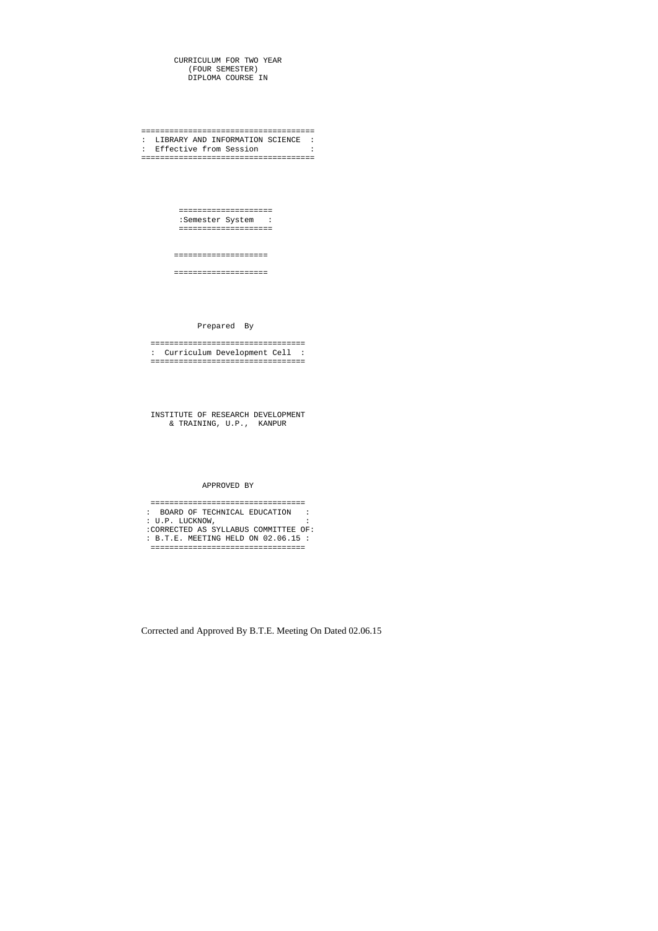CURRICULUM FOR TWO YEAR (FOUR SEMESTER) DIPLOMA COURSE IN

===================================== : LIBRARY AND INFORMATION SCIENCE : : Effective from Session : =====================================

> ==================== :Semester System : ====================

====================

====================

Prepared By

 ================================= : Curriculum Development Cell : =================================

 INSTITUTE OF RESEARCH DEVELOPMENT & TRAINING, U.P., KANPUR

APPROVED BY

 ================================= : BOARD OF TECHNICAL EDUCATION : : U.P. LUCKNOW, : :CORRECTED AS SYLLABUS COMMITTEE OF: : B.T.E. MEETING HELD ON 02.06.15 : =================================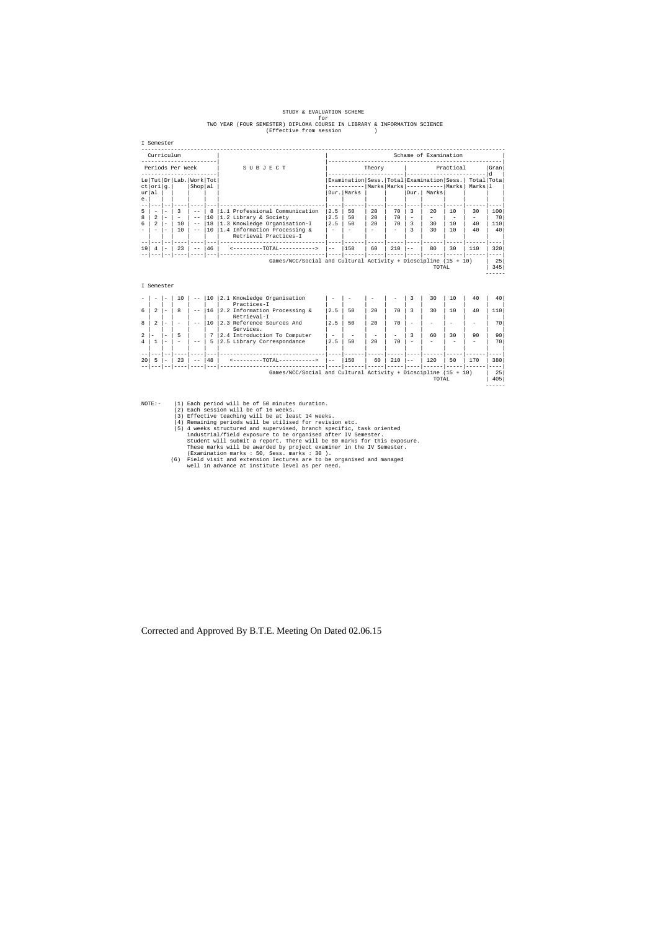## STUDY & EVALUATION SCHEME for TWO YEAR (FOUR SEMESTER) DIPLOMA COURSE IN LIBRARY & INFORMATION SCIENCE (Effective from session )

| ≃mest<br>÷<br>۰.<br>۰.<br>٧<br>× |  |
|----------------------------------|--|
|----------------------------------|--|

| Curriculum<br>Schame of Examination |                                                             |    |                   |    |           |     |                    |                                               |                                                                                                                                |
|-------------------------------------|-------------------------------------------------------------|----|-------------------|----|-----------|-----|--------------------|-----------------------------------------------|--------------------------------------------------------------------------------------------------------------------------------|
| SUBJECT                             | Practical<br>Theory                                         |    |                   |    | Gran<br>d |     |                    |                                               |                                                                                                                                |
|                                     |                                                             |    |                   |    |           |     |                    | Total Tota<br>Marksll                         |                                                                                                                                |
|                                     |                                                             |    |                   |    |           |     |                    |                                               |                                                                                                                                |
|                                     |                                                             |    |                   |    |           |     |                    |                                               |                                                                                                                                |
| 1.1 Professional Communication      | 2.5                                                         | 50 | 2.0               | 70 |           | 2.0 | 10                 | 30                                            | 100                                                                                                                            |
| 1.2 Library & Society               | 2.5                                                         | 50 | 2.0               | 70 |           |     |                    |                                               | 70                                                                                                                             |
| 1.3 Knowledge Organisation-I        | 2.5                                                         | 50 | 2.0               | 70 | 3         | 30  | 10                 | 40                                            | 110                                                                                                                            |
| 1.4 Information Processing &        |                                                             |    |                   |    |           | 30  | 10                 | 40                                            | 40                                                                                                                             |
| Retrieval Practices-I               |                                                             |    |                   |    |           |     |                    |                                               |                                                                                                                                |
|                                     |                                                             |    |                   |    |           |     |                    |                                               |                                                                                                                                |
|                                     | $- -$                                                       |    |                   |    |           |     |                    |                                               | 320                                                                                                                            |
|                                     |                                                             |    |                   |    |           |     |                    |                                               | 25<br>345                                                                                                                      |
| Shop al<br>8<br>10<br>18<br>10      | Le Tut Dr Lab. Work Tot<br>46<br><--------TOTAL-----------> |    | Dur. Marks<br>150 | 60 | 210       |     | Dur.   Marks<br>80 | Marks Marks ------------ Marks<br>30<br>TOTAL | Examination   Sess.   Total   Examination   Sess.  <br>110<br>Games/NCC/Social and Cultural Activity + Dicscipline $(15 + 10)$ |

- NOTE:- (1) Each period will be of 50 minutes duration.<br>
(2) Each session will be of 16 weeks.<br>
(3) Effective teaching will be at least 14 weeks.<br>
(4) Remaining periods will be utilised for revision etc.<br>
(5) 4 weeks struct
- These marks will be awarded by project examiner in the IV Semester. (Examination marks : 50, Sess. marks : 30 ). (6) Field visit and extension lectures are to be organised and managed well in advance at institute level as per need.

#### I Semester

|    |                          |                          | 10     | $- -$ | 10 | 2.1 Knowledge Organisation                                       | $\overline{\phantom{a}}$ |                          |                 | -                        | 3                        | 30                       | 10 | 40  | 40  |
|----|--------------------------|--------------------------|--------|-------|----|------------------------------------------------------------------|--------------------------|--------------------------|-----------------|--------------------------|--------------------------|--------------------------|----|-----|-----|
|    |                          |                          |        |       |    | Practices-I                                                      |                          |                          |                 |                          |                          |                          |    |     |     |
| б. |                          | $\qquad \qquad$          | 8      | $- -$ | 16 | 2.2 Information Processing &                                     | 2.5                      | 50                       | 2.0             | 70                       | 3                        | 30                       | 10 | 40  | 110 |
|    |                          |                          |        |       |    | Retrieval-I                                                      |                          |                          |                 |                          |                          |                          |    |     |     |
| 8  | $\overline{a}$           | $\overline{\phantom{a}}$ | $\sim$ | $- -$ | 10 | 2.3 Reference Sources And                                        | 2.5                      | 50                       | 2.0             | 70                       | $\overline{\phantom{a}}$ |                          |    |     | 70  |
|    |                          |                          |        |       |    | Services.                                                        |                          |                          |                 |                          |                          |                          |    |     |     |
|    | $\overline{\phantom{0}}$ | $\overline{\phantom{a}}$ | 5      |       |    | 2.4 Introduction To Computer                                     | $\overline{\phantom{a}}$ | $\overline{\phantom{a}}$ | $\qquad \qquad$ | $\overline{\phantom{0}}$ | 3                        | 60                       | 30 | 90  | 90  |
|    |                          |                          | $\sim$ | $- -$ | 5. | 2.5 Library Correspondance                                       | 2.5                      | 50                       | 2.0             | 70                       | $\overline{\phantom{a}}$ | $\overline{\phantom{a}}$ | -  |     | 70  |
|    |                          |                          |        |       |    |                                                                  |                          |                          |                 |                          |                          |                          |    |     |     |
|    |                          |                          |        |       |    |                                                                  |                          |                          |                 |                          |                          |                          |    |     |     |
| 20 |                          |                          | 23     | $- -$ | 48 | $-TOTAI -$                                                       | $- -$                    | 150                      | 60              | 210                      | $- -$                    | 120                      | 50 | 170 | 380 |
|    |                          |                          |        |       |    |                                                                  |                          |                          |                 |                          |                          |                          |    |     |     |
|    |                          |                          |        |       |    | Games/NCC/Social and Cultural Activity + Dicscipline $(15 + 10)$ |                          |                          |                 |                          |                          |                          |    |     | 25  |
|    |                          |                          |        |       |    |                                                                  |                          |                          |                 |                          |                          | TOTAL                    |    |     | 405 |

------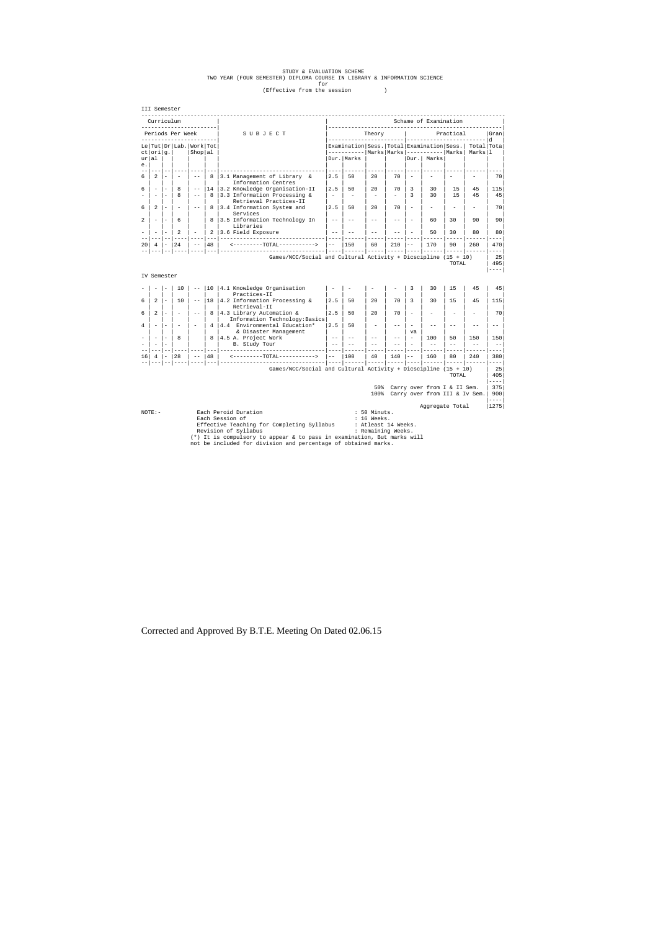# STUDY & EVALUATION SCHEME<br>TWO YEAR (FOUR SEMESTER) DIPLOMA COURSE IN LIBRARY & INFORMATION SCIENCE<br>(Effective from the session)

|                                  | III Semester                                                                                                                                           |                          |                          |                          |            |                                                                  |                          |                                                                        |                          |                          |                                |                                                                   |       |                       |                         |
|----------------------------------|--------------------------------------------------------------------------------------------------------------------------------------------------------|--------------------------|--------------------------|--------------------------|------------|------------------------------------------------------------------|--------------------------|------------------------------------------------------------------------|--------------------------|--------------------------|--------------------------------|-------------------------------------------------------------------|-------|-----------------------|-------------------------|
| Curriculum<br>__________________ |                                                                                                                                                        |                          |                          |                          |            | Schame of Examination<br>_____________________________           |                          |                                                                        |                          |                          |                                |                                                                   |       |                       |                         |
| Periods Per Week                 |                                                                                                                                                        |                          |                          |                          |            | SUBJECT                                                          |                          |                                                                        | Theory                   |                          | Practical                      |                                                                   |       |                       | Gran<br>l d             |
| ct                               | $or$ i $ g.$                                                                                                                                           |                          | Le Tut Dr Lab. Work Tot  | Shop al                  |            |                                                                  |                          | Examination Sess. Total Examination Sess.<br>----------  Marks   Marks |                          |                          |                                | ----------  Marks                                                 |       | Total Tota<br>Marksll |                         |
| ur al<br>e.                      |                                                                                                                                                        |                          |                          |                          |            |                                                                  |                          | Dur. Marks                                                             |                          |                          |                                | Dur. Marks                                                        |       |                       |                         |
|                                  |                                                                                                                                                        |                          |                          |                          |            |                                                                  |                          |                                                                        |                          |                          |                                |                                                                   |       |                       |                         |
| 6                                | 2                                                                                                                                                      | ۰                        |                          | $- -$                    | 8          | 3.1 Management of Library &<br>Information Centres               | 2.5                      | 50                                                                     | 20                       | 70                       |                                |                                                                   |       |                       | 70                      |
| 6                                | $\overline{\phantom{a}}$                                                                                                                               | $\overline{\phantom{a}}$ | 8                        | $ -$                     | 14         | 3.2 Knowledge Organisation-II                                    | 2.5                      | 50                                                                     | 2.0                      | 70                       | 3                              | 30                                                                | 15    | 45                    | 115                     |
|                                  | $\overline{\phantom{a}}$                                                                                                                               | $\overline{\phantom{a}}$ | 8                        | $ -$                     | 8          | 3.3 Information Processing &<br>Retrieval Practices-II           | $\overline{\phantom{a}}$ | $\overline{\phantom{a}}$                                               | $\overline{\phantom{a}}$ | $\overline{\phantom{0}}$ | 3                              | 30                                                                | 15    | 45                    | 45                      |
| 6                                | 2                                                                                                                                                      | $\overline{\phantom{a}}$ |                          | $- -$                    | 8          | 3.4 Information System and<br>Services                           | 2.5                      | 50                                                                     | 20                       | 70                       | $\overline{\phantom{a}}$       | $\overline{\phantom{0}}$                                          |       |                       | 70                      |
| 2                                | $\overline{\phantom{a}}$                                                                                                                               | $\overline{\phantom{a}}$ | 6                        |                          | 8          | 3.5 Information Technology In<br>Libraries                       | $- -$                    |                                                                        | $ -$                     | $- -$                    | $\overline{\phantom{a}}$       | 60                                                                | 30    | 90                    | 90                      |
|                                  | $\overline{\phantom{a}}$                                                                                                                               |                          | 2                        | $\overline{\phantom{a}}$ | 2<br>$- -$ | 3.6 Field Exposure<br>-----------------                          | $- -$                    |                                                                        | $-$                      | $-$                      |                                | 50                                                                | 30    | 80                    | 80                      |
| 20                               | 4                                                                                                                                                      | $\sim$                   | 24<br>$--- 1$            | $- -$<br>---- ---        | 48         | <---------TOTAL----------->                                      | $---$                    | 150                                                                    | 60                       | 210                      | $-$                            | 170                                                               | 90    | 260                   | 470<br>$- - - -$        |
|                                  | IV Semester                                                                                                                                            |                          |                          |                          |            | Games/NCC/Social and Cultural Activity + Dicscipline $(15 + 10)$ |                          |                                                                        |                          |                          |                                |                                                                   | TOTAL |                       | 25<br>495<br>$---$      |
|                                  |                                                                                                                                                        |                          | 10                       | $ -$                     | 10         | 4.1 Knowledge Organisation                                       |                          |                                                                        |                          |                          | 3                              | 30                                                                | 1.5   | 45                    | 45                      |
| 6                                | 2                                                                                                                                                      | $\sim$                   | 10                       | $- \, -$                 | 18         | Practices-II<br>4.2 Information Processing &                     | 2.5                      | 50                                                                     | 20                       | 70                       | 3                              | 30                                                                | 15    | 45                    | 115                     |
| 6                                | 2                                                                                                                                                      | $\overline{\phantom{0}}$ |                          | $ -$                     | 8          | Retrieval-II<br>4.3 Library Automation &                         | 2.5                      | 50                                                                     | 2.0                      | 70                       |                                |                                                                   |       |                       | 70                      |
| 4                                | $\overline{\phantom{a}}$                                                                                                                               | $\overline{\phantom{a}}$ | $\overline{\phantom{a}}$ | $\sim$                   | 4          | Information Technology: Basics<br>4.4 Environmental Education*   | 2.5                      | 50                                                                     |                          | $- -$                    | $\overline{\phantom{a}}$       | $-$                                                               | $ -$  | $ -$                  | $- -$                   |
|                                  | $\sim$                                                                                                                                                 | L.                       | 8                        |                          | 8          | & Disaster Management<br>4.5 A. Project Work                     | $-$                      |                                                                        | $-$                      | $- -$                    | va<br>$\overline{\phantom{a}}$ | 100                                                               | 50    | 150                   | 150                     |
|                                  | $\overline{\phantom{a}}$                                                                                                                               | ۰                        |                          |                          |            | B. Study Tour                                                    | $- -$                    |                                                                        |                          | $-$                      |                                | $-$                                                               | $-$   | $-$                   | $\sim$ $-$              |
|                                  |                                                                                                                                                        |                          |                          |                          | $- - -$    | -----------                                                      | $- - - -$                |                                                                        |                          |                          |                                |                                                                   |       |                       | ----                    |
| 16                               | 4                                                                                                                                                      |                          | 28                       | $-$<br>$- - -  - - -$    | 48         | <--------TOTAL----------->                                       | $---$                    | 100                                                                    | 40                       | 140                      | $-$                            | 160                                                               | 80    | 240<br>$- - - - - -$  | 380<br>$- - - -$        |
|                                  |                                                                                                                                                        |                          |                          |                          |            | Games/NCC/Social and Cultural Activity + Dicscipline $(15 + 10)$ |                          |                                                                        |                          |                          |                                |                                                                   | TOTAL |                       | 25<br>405<br>$- - - -$  |
|                                  |                                                                                                                                                        |                          |                          |                          |            |                                                                  |                          |                                                                        | 50%                      |                          |                                | Carry over from I & II Sem.<br>100% Carry over from III & Iv Sem. |       |                       | 375<br>900<br>$- - - -$ |
|                                  |                                                                                                                                                        |                          |                          |                          |            |                                                                  |                          |                                                                        |                          |                          |                                | Aggregate Total                                                   |       |                       | 1275                    |
|                                  | Each Peroid Duration<br>50 Minuts.<br>$NOTE: -$<br>Each Session of<br>: 16 Weeks.<br>: Atleast 14 Weeks.<br>Effective Teaching for Completing Syllabus |                          |                          |                          |            |                                                                  |                          |                                                                        |                          |                          |                                |                                                                   |       |                       |                         |

Effective Teaching for Completing Syllabus : Atleast 14 Weeks.<br>Revision of Syllabus : Remaining Weeks.<br>(\*) It is compulsory to appear & to pass in examination, But marks will<br>not be included for division and percentage of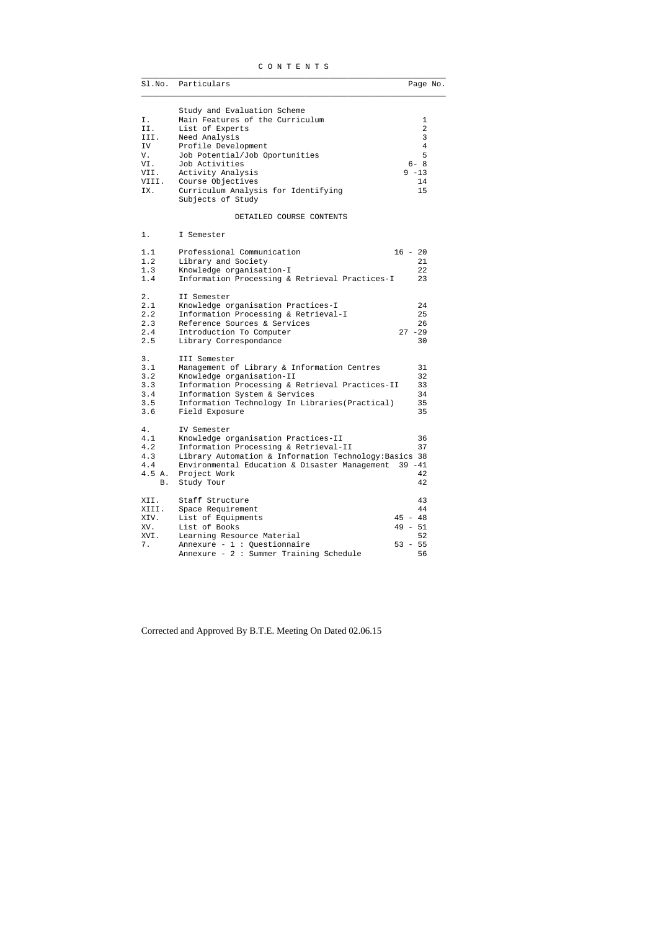## C O N T E N T S  $\_$  ,  $\_$  ,  $\_$  ,  $\_$  ,  $\_$  ,  $\_$  ,  $\_$  ,  $\_$  ,  $\_$  ,  $\_$  ,  $\_$  ,  $\_$  ,  $\_$  ,  $\_$  ,  $\_$  ,  $\_$  ,  $\_$  ,  $\_$  ,  $\_$  ,  $\_$  ,  $\_$  ,  $\_$  ,  $\_$  ,  $\_$  ,  $\_$  ,  $\_$  ,  $\_$  ,  $\_$  ,  $\_$  ,  $\_$  ,  $\_$  ,  $\_$  ,  $\_$  ,  $\_$  ,  $\_$  ,  $\_$  ,  $\_$  ,

|       | Sl.No. Particulars                                       | Page No.       |
|-------|----------------------------------------------------------|----------------|
|       | Study and Evaluation Scheme                              |                |
| Ι.    | Main Features of the Curriculum                          | 1              |
| II.   | List of Experts                                          | $\overline{a}$ |
| III.  | Need Analysis                                            | 3              |
| IV    | Profile Development                                      | $\overline{4}$ |
| V.    | Job Potential/Job Oportunities                           | 5              |
| VI.   | Job Activities                                           | $6 - 8$        |
| VII.  | Activity Analysis                                        | $9 - 13$       |
| VIII. | Course Objectives                                        | 14             |
| IX.   |                                                          | 15             |
|       | Curriculum Analysis for Identifying<br>Subjects of Study |                |
|       | DETAILED COURSE CONTENTS                                 |                |
| 1.    | I Semester                                               |                |
| 1.1   | Professional Communication                               | $16 - 20$      |
| 1.2   | Library and Society                                      | 21             |
| 1.3   | Knowledge organisation-I                                 | 22             |
| 1.4   | Information Processing & Retrieval Practices-I           | 23             |
|       |                                                          |                |
| 2.    | II Semester                                              |                |
| 2.1   | Knowledge organisation Practices-I                       | 24             |
| 2.2   | Information Processing & Retrieval-I                     | 25             |
| 2.3   | Reference Sources & Services                             | 26             |
| 2.4   | Introduction To Computer                                 | $27 - 29$      |
| 2.5   | Library Correspondance                                   | 30             |
|       |                                                          |                |
| 3.    | III Semester                                             |                |
| 3.1   | Management of Library & Information Centres              | 31             |
| 3.2   | Knowledge organisation-II                                | 32             |
| 3.3   | Information Processing & Retrieval Practices-II          | 33             |
| 3.4   | Information System & Services                            | 34             |
| 3.5   | Information Technology In Libraries (Practical)          | 35             |
| 3.6   | Field Exposure                                           | 35             |
|       |                                                          |                |
| 4.    | IV Semester                                              |                |
| 4.1   | Knowledge organisation Practices-II                      | 36             |
| 4.2   | Information Processing & Retrieval-II                    | 37             |
| 4.3   | Library Automation & Information Technology: Basics 38   |                |
| 4.4   | Environmental Education & Disaster Management            | $39 - 41$      |
| 4.5A. | Project Work                                             | 42             |
| В.    | Study Tour                                               | 42             |
| XII.  | Staff Structure                                          | 43             |
| XIII. | Space Requirement                                        | 44             |
| XIV.  | List of Equipments                                       | $45 - 48$      |
| XV.   | List of Books                                            | $49 - 51$      |
|       |                                                          | 52             |
| XVI.  | Learning Resource Material                               | $53 - 55$      |
| 7.    | Annexure - $1:$ Questionnaire                            |                |
|       | Annexure - $2: Summer Training Schedule$                 | 56             |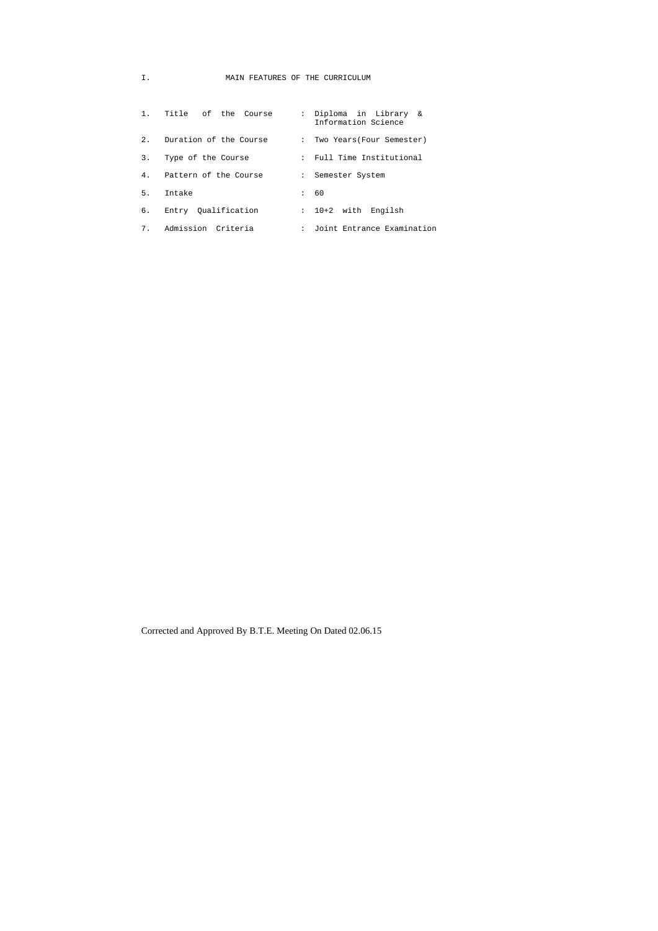# I. MAIN FEATURES OF THE CURRICULUM

| $1$ . | Title of the Course    | : Diploma in Library &<br>Information Science |  |
|-------|------------------------|-----------------------------------------------|--|
| 2.1   | Duration of the Course | : Two Years (Four Semester)                   |  |
| 3.    | Type of the Course     | : Full Time Institutional                     |  |
| 4.    | Pattern of the Course  | : Semester System                             |  |
| 5.    | Intake                 | : 60                                          |  |
| 6.    | Entry Oualification    | : 10+2 with Engilsh                           |  |
| 7.    | Admission Criteria     | : Joint Entrance Examination                  |  |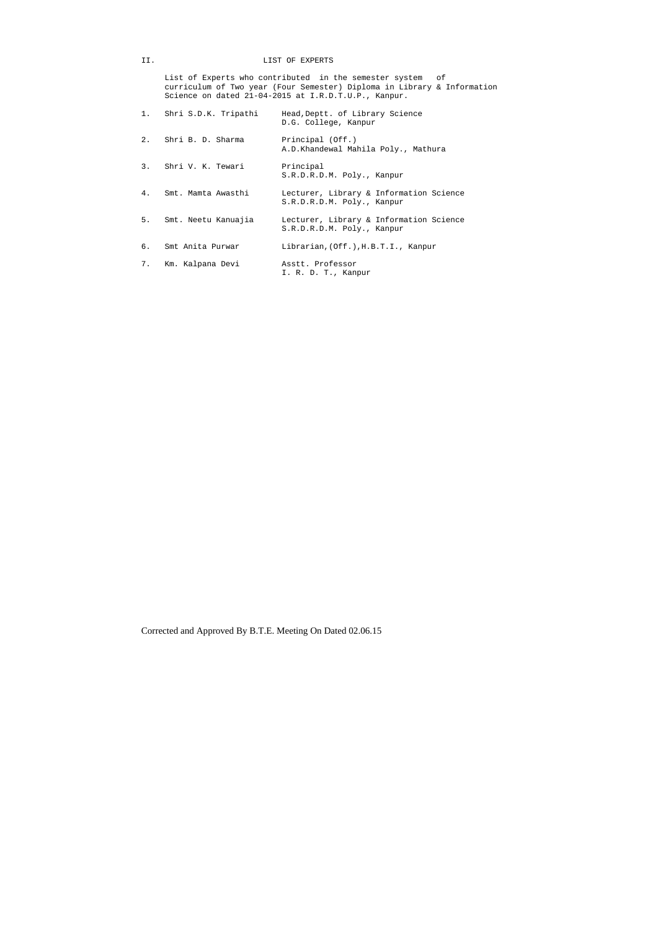# II. LIST OF EXPERTS

 List of Experts who contributed in the semester system of curriculum of Two year (Four Semester) Diploma in Library & Information Science on dated 21-04-2015 at I.R.D.T.U.P., Kanpur.

|    | 1. Shri S.D.K. Tripathi | Head, Deptt. of Library Science<br>D.G. College, Kanpur               |
|----|-------------------------|-----------------------------------------------------------------------|
| 2. | Shri B. D. Sharma       | Principal (Off.)<br>A.D.Khandewal Mahila Poly., Mathura               |
|    | 3. Shri V. K. Tewari    | Principal<br>S.R.D.R.D.M. Poly., Kanpur                               |
| 4. | Smt. Mamta Awasthi      | Lecturer, Library & Information Science<br>S.R.D.R.D.M. Poly., Kanpur |
|    | 5. Smt. Neetu Kanuajia  | Lecturer, Library & Information Science<br>S.R.D.R.D.M. Poly., Kanpur |
| б. | Smt Anita Purwar        | Librarian, (Off.), H.B.T.I., Kanpur                                   |
| 7. | Km. Kalpana Devi        | Asstt. Professor<br>I. R. D. T., Kanpur                               |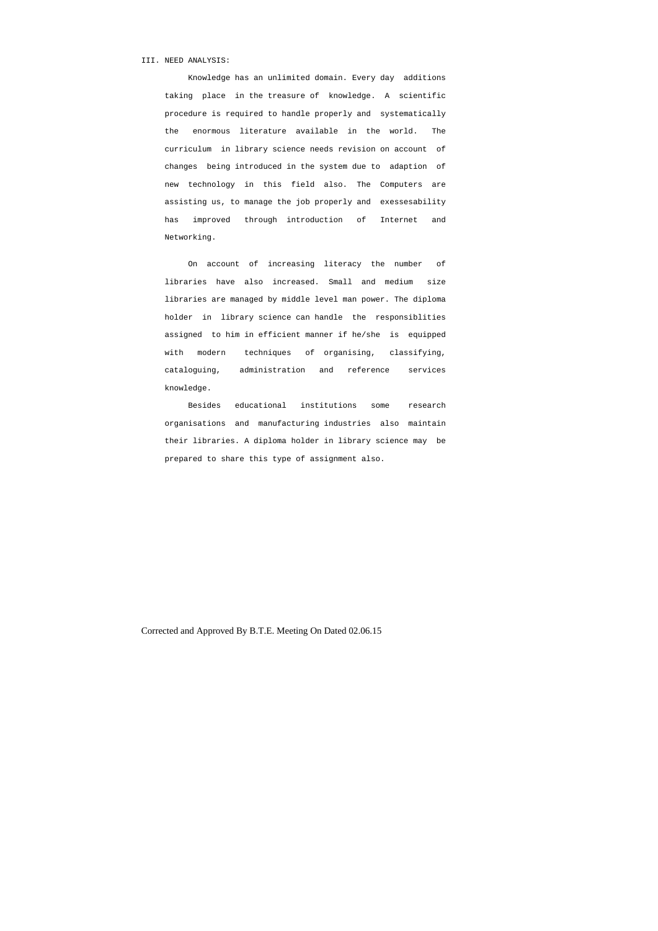## III. NEED ANALYSIS:

 Knowledge has an unlimited domain. Every day additions taking place in the treasure of knowledge. A scientific procedure is required to handle properly and systematically the enormous literature available in the world. The curriculum in library science needs revision on account of changes being introduced in the system due to adaption of new technology in this field also. The Computers are assisting us, to manage the job properly and exessesability has improved through introduction of Internet and Networking.

 On account of increasing literacy the number of libraries have also increased. Small and medium size libraries are managed by middle level man power. The diploma holder in library science can handle the responsiblities assigned to him in efficient manner if he/she is equipped with modern techniques of organising, classifying, cataloguing, administration and reference services knowledge.

 Besides educational institutions some research organisations and manufacturing industries also maintain their libraries. A diploma holder in library science may be prepared to share this type of assignment also.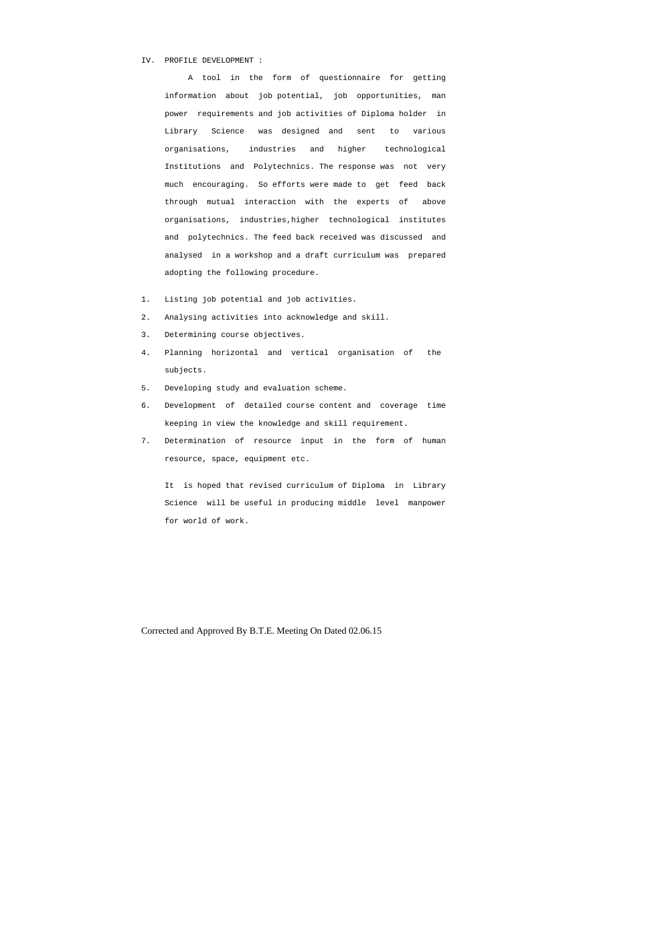#### IV. PROFILE DEVELOPMENT :

 A tool in the form of questionnaire for getting information about job potential, job opportunities, man power requirements and job activities of Diploma holder in Library Science was designed and sent to various organisations, industries and higher technological Institutions and Polytechnics. The response was not very much encouraging. So efforts were made to get feed back through mutual interaction with the experts of above organisations, industries,higher technological institutes and polytechnics. The feed back received was discussed and analysed in a workshop and a draft curriculum was prepared adopting the following procedure.

- 1. Listing job potential and job activities.
- 2. Analysing activities into acknowledge and skill.
- 3. Determining course objectives.
- 4. Planning horizontal and vertical organisation of the subjects.
- 5. Developing study and evaluation scheme.
- 6. Development of detailed course content and coverage time keeping in view the knowledge and skill requirement.
- 7. Determination of resource input in the form of human resource, space, equipment etc.

 It is hoped that revised curriculum of Diploma in Library Science will be useful in producing middle level manpower for world of work.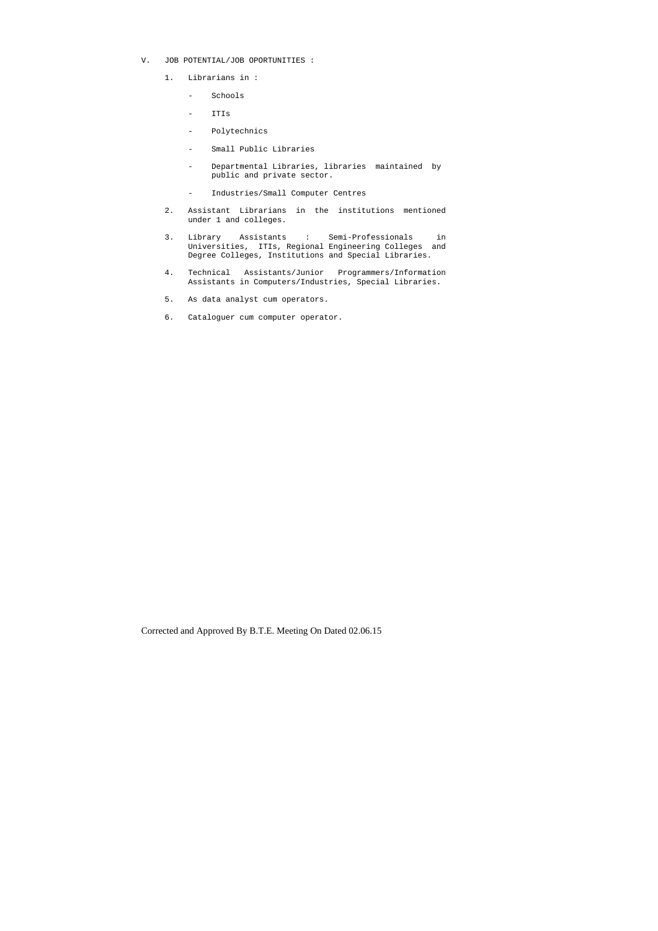- V. JOB POTENTIAL/JOB OPORTUNITIES :
	- 1. Librarians in :
		- Schools
		- ITIs
		- Polytechnics
		- Small Public Libraries
		- Departmental Libraries, libraries maintained by public and private sector.
		- Industries/Small Computer Centres
	- 2. Assistant Librarians in the institutions mentioned under 1 and colleges.
	- 3. Library Assistants : Semi-Professionals in Universities, ITIs, Regional Engineering Colleges and Degree Colleges, Institutions and Special Libraries.
	- 4. Technical Assistants/Junior Programmers/Information Assistants in Computers/Industries, Special Libraries.
	- 5. As data analyst cum operators.
	- 6. Cataloguer cum computer operator.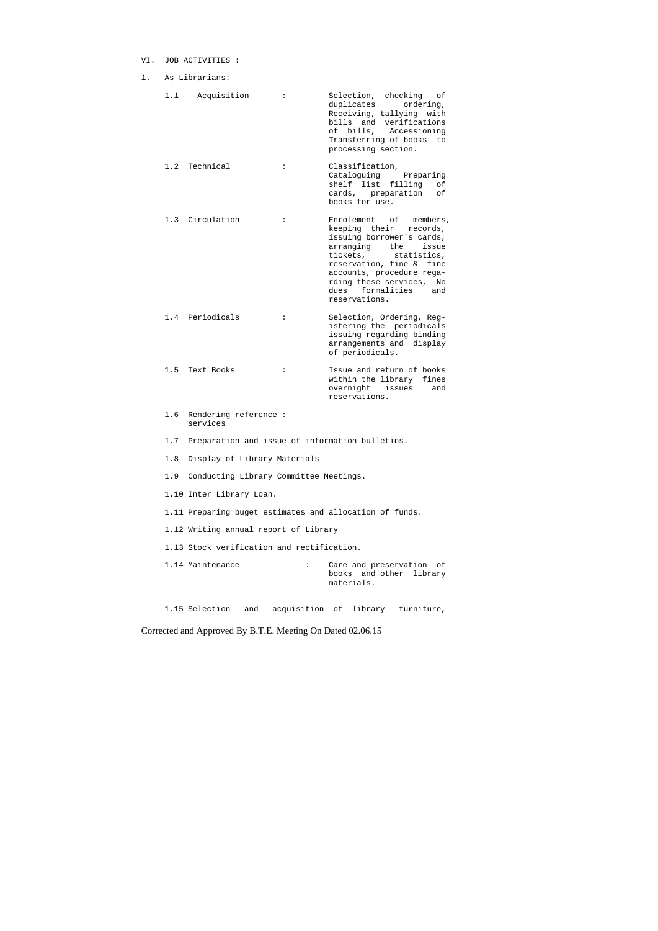# VI. JOB ACTIVITIES :

1. As Librarians:

| 1.1 | Acquisition                                     | $\ddot{\phantom{a}}$ | Selection, checking<br>оf<br>duplicates<br>ordering,<br>Receiving, tallying with<br>bills and verifications<br>of bills, Accessioning<br>Transferring of books<br>to<br>processing section.                                                                               |
|-----|-------------------------------------------------|----------------------|---------------------------------------------------------------------------------------------------------------------------------------------------------------------------------------------------------------------------------------------------------------------------|
|     | 1.2 Technical                                   | $\ddot{\cdot}$       | Classification,<br>Cataloguing<br>Preparing<br>shelf list<br>filling<br>оf<br>cards, preparation<br>оf<br>books for use.                                                                                                                                                  |
|     | 1.3 Circulation                                 | $\ddot{\cdot}$       | Enrolement of<br>members,<br>keeping their<br>records,<br>issuing borrower's cards,<br>arranging<br>the issue<br>tickets,<br>statistics,<br>reservation, fine & fine<br>accounts, procedure rega-<br>rding these services,<br>No<br>dues formalities and<br>reservations. |
|     | 1.4 Periodicals                                 | $\ddot{\phantom{a}}$ | Selection, Ordering, Reg-<br>istering the periodicals<br>issuing regarding binding<br>arrangements and display<br>of periodicals.                                                                                                                                         |
| 1.5 | Text Books                                      | $\ddot{\phantom{a}}$ | Issue and return of books<br>within the library<br>fines<br>overnight<br>issues<br>and<br>reservations.                                                                                                                                                                   |
| 1.6 | Rendering reference:<br>services                |                      |                                                                                                                                                                                                                                                                           |
| 1.7 | Preparation and issue of information bulletins. |                      |                                                                                                                                                                                                                                                                           |
| 1.8 | Display of Library Materials                    |                      |                                                                                                                                                                                                                                                                           |
| 1.9 | Conducting Library Committee Meetings.          |                      |                                                                                                                                                                                                                                                                           |
|     | 1.10 Inter Library Loan.                        |                      |                                                                                                                                                                                                                                                                           |
|     |                                                 |                      | 1.11 Preparing buget estimates and allocation of funds.                                                                                                                                                                                                                   |
|     | 1.12 Writing annual report of Library           |                      |                                                                                                                                                                                                                                                                           |
|     | 1.13 Stock verification and rectification.      |                      |                                                                                                                                                                                                                                                                           |
|     | 1.14 Maintenance                                | $\ddot{\cdot}$       | Care and preservation of<br>books and other<br>library<br>materials.                                                                                                                                                                                                      |

1.15 Selection and acquisition of library furniture,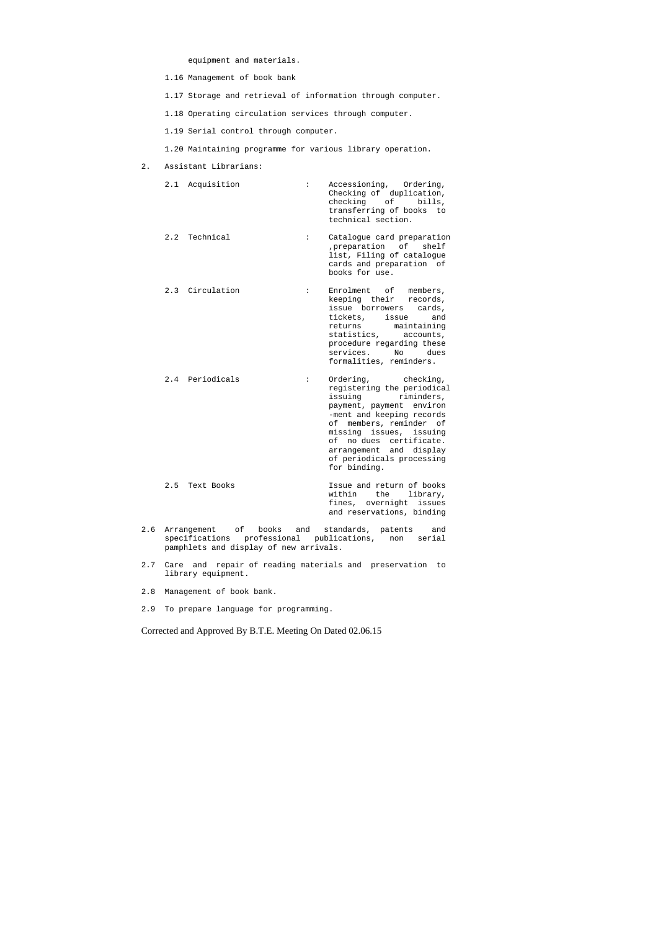equipment and materials.

- 1.16 Management of book bank
- 1.17 Storage and retrieval of information through computer.
- 1.18 Operating circulation services through computer.
- 1.19 Serial control through computer.
- 1.20 Maintaining programme for various library operation.
- 2. Assistant Librarians:

| 2.1 Acquisition | Accessioning, Ordering,<br>$\ddot{\cdot}$<br>Checking of duplication,<br>checking of bills,<br>transferring of books to<br>technical section.                                                                                                                          |
|-----------------|------------------------------------------------------------------------------------------------------------------------------------------------------------------------------------------------------------------------------------------------------------------------|
| 2.2 Technical   | Catalogue card preparation<br>$\ddot{\phantom{a}}$<br>preparation of<br>shelf<br>list, Filing of catalogue<br>cards and preparation of<br>books for use.                                                                                                               |
| 2.3 Circulation | Enrolment of<br>$\ddot{\phantom{a}}$<br>members,<br>keeping their<br>records,<br>issue borrowers cards,<br>tickets,<br>issue<br>and<br>maintaining<br>returns<br>statistics, accounts,<br>procedure regarding these<br>services.<br>No dues<br>formalities, reminders. |
| 2.4 Periodicals | Ordering, checking,<br>:<br>registering the periodical<br>issuing<br>riminders,<br>payment, payment environ<br>-ment and keeping records<br>of members, reminder of                                                                                                    |

- missing issues, issuing of no dues certificate. arrangement and display of periodicals processing for binding.
- 2.5 Text Books Issue and return of books within the library, fines, overnight issues and reservations, binding
- 2.6 Arrangement of books and standards, patents and specifications professional publications, non serial pamphlets and display of new arrivals.
- 2.7 Care and repair of reading materials and preservation to library equipment.
- 2.8 Management of book bank.
- 2.9 To prepare language for programming.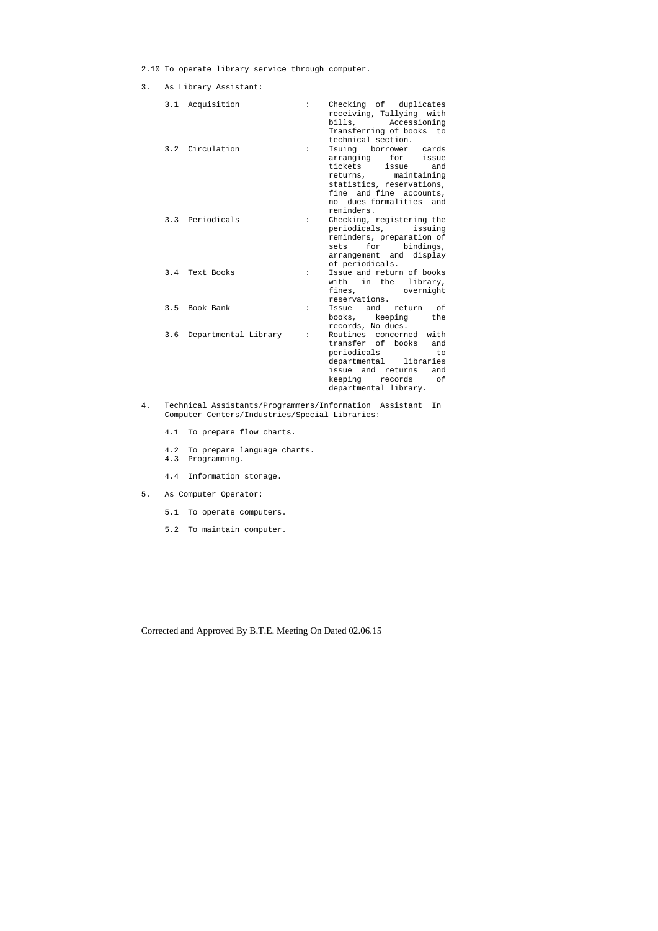2.10 To operate library service through computer.

3. As Library Assistant:

|     | 3.1 Acquisition      | $\ddot{\cdot}$       | Checking of duplicates<br>receiving, Tallying with<br>bills,<br>Accessioning<br>Transferring of books<br>to<br>technical section.                                                              |
|-----|----------------------|----------------------|------------------------------------------------------------------------------------------------------------------------------------------------------------------------------------------------|
|     | 3.2 Circulation      | $\ddot{\phantom{a}}$ | Isuing borrower cards<br>arranging<br>for<br>issue<br>tickets<br>issue<br>and<br>maintaining<br>returns,<br>statistics, reservations,<br>fine and fine accounts,<br>no dues formalities<br>and |
|     | 3.3 Periodicals      | $\ddot{\phantom{a}}$ | reminders.<br>Checking, registering the<br>periodicals,<br>issuing<br>reminders, preparation of<br>for<br>bindings,<br>sets                                                                    |
|     | 3.4 Text Books       | $\ddot{\phantom{a}}$ | arrangement and display<br>of periodicals.<br>Issue and return of books<br>in the library,<br>with<br>fines, overnight                                                                         |
|     | 3.5 Book Bank        | $\ddot{\phantom{a}}$ | reservations.<br>and<br>оf<br>Issue<br>return<br>books, keeping<br>the<br>records, No dues.                                                                                                    |
| 3.6 | Departmental Library | $\ddot{\cdot}$       | Routines concerned with<br>transfer of books<br>and<br>periodicals<br>to<br>departmental<br>libraries<br>issue and returns<br>and<br>keeping<br>records<br>оf<br>departmental library.         |

- 4. Technical Assistants/Programmers/Information Assistant In Computer Centers/Industries/Special Libraries:
	- 4.1 To prepare flow charts.
- 4.2 To prepare language charts.
- 4.3 Programming.
	- 4.4 Information storage.
- 5. As Computer Operator:
	- 5.1 To operate computers.
	- 5.2 To maintain computer.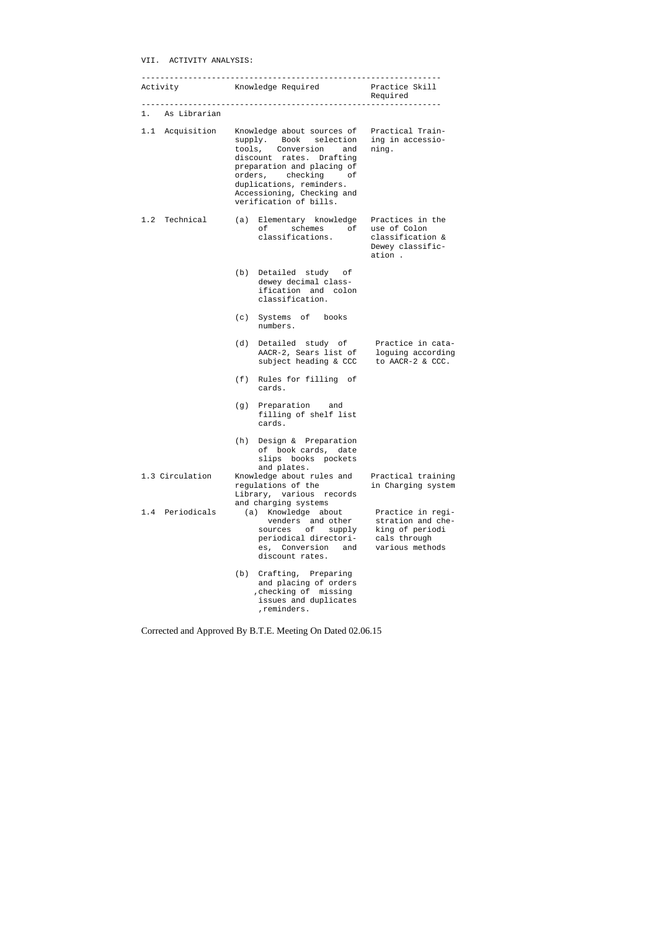VII. ACTIVITY ANALYSIS:

|     |                 |     | Activity Knowledge Required                                                                                                                                                                                                                                         | Practice Skill<br>Required                                                                   |  |
|-----|-----------------|-----|---------------------------------------------------------------------------------------------------------------------------------------------------------------------------------------------------------------------------------------------------------------------|----------------------------------------------------------------------------------------------|--|
|     | 1. As Librarian |     |                                                                                                                                                                                                                                                                     |                                                                                              |  |
|     | 1.1 Acquisition |     | Knowledge about sources of Practical Train-<br>supply. Book selection<br>tools, Conversion and<br>discount rates. Drafting<br>preparation and placing of<br>orders, checking of<br>duplications, reminders.<br>Accessioning, Checking and<br>verification of bills. | ing in accessio-<br>ning.                                                                    |  |
|     | 1.2 Technical   |     | (a) Elementary knowledge<br>of schemes of use of Colon<br>classifications.                                                                                                                                                                                          | Practices in the<br>classification &<br>Dewey classific-<br>ation .                          |  |
|     |                 |     | (b) Detailed study of<br>dewey decimal class-<br>ification and colon<br>classification.                                                                                                                                                                             |                                                                                              |  |
|     |                 |     | (c) Systems of books<br>numbers.                                                                                                                                                                                                                                    |                                                                                              |  |
|     |                 | (d) | Detailed study of Practice in cata-<br>AACR-2, Sears list of<br>subject heading & CCC to AACR-2 & CCC.                                                                                                                                                              | loguing according                                                                            |  |
|     |                 | (f) | Rules for filling of<br>cards.                                                                                                                                                                                                                                      |                                                                                              |  |
|     |                 |     | (g) Preparation and<br>filling of shelf list<br>cards.                                                                                                                                                                                                              |                                                                                              |  |
|     |                 | (h) | Design & Preparation<br>of book cards, date<br>slips books pockets<br>and plates.                                                                                                                                                                                   |                                                                                              |  |
|     | 1.3 Circulation |     | Knowledge about rules and<br>regulations of the<br>Library, various records<br>and charging systems                                                                                                                                                                 | Practical training<br>in Charging system                                                     |  |
| 1.4 | Periodicals     |     | (a) Knowledge about<br>venders and other<br>оf<br>supply<br>sources<br>periodical directori-<br>es, Conversion<br>and<br>discount rates.                                                                                                                            | Practice in regi-<br>stration and che-<br>king of periodi<br>cals through<br>various methods |  |
|     |                 | (b) | Crafting, Preparing<br>and placing of orders<br>, checking of missing<br>issues and duplicates<br>, reminders.                                                                                                                                                      |                                                                                              |  |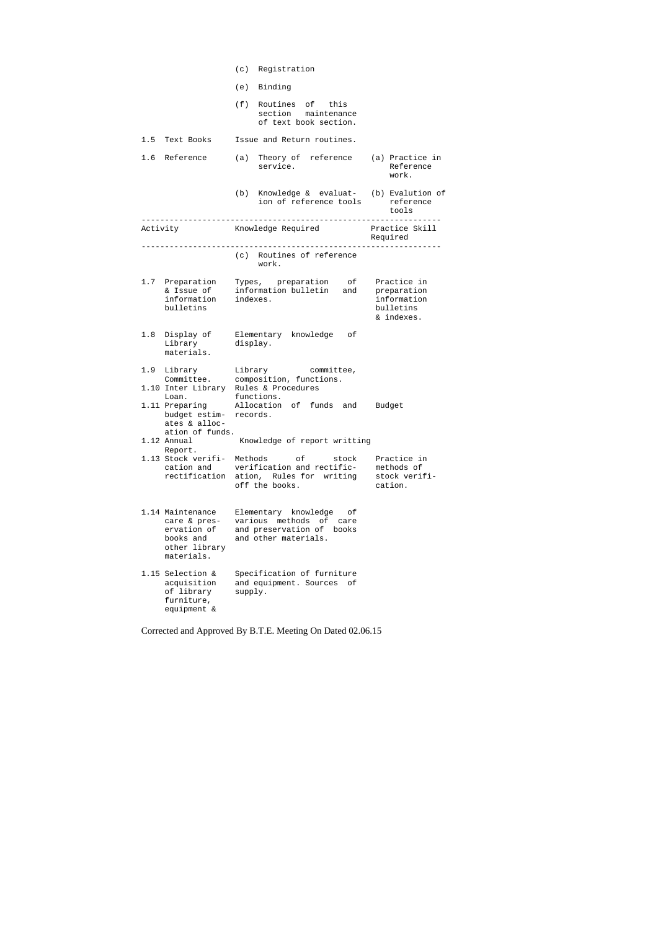|          |                                                                                             |          | (c) Registration                                                                                            |                                                       |
|----------|---------------------------------------------------------------------------------------------|----------|-------------------------------------------------------------------------------------------------------------|-------------------------------------------------------|
|          |                                                                                             |          | (e) Binding                                                                                                 |                                                       |
|          |                                                                                             |          | (f) Routines of this<br>section maintenance<br>of text book section.                                        |                                                       |
|          | 1.5 Text Books                                                                              |          | Issue and Return routines.                                                                                  |                                                       |
|          | 1.6 Reference                                                                               |          | (a) Theory of reference (a) Practice in<br>service.                                                         | Reference<br>work.                                    |
|          |                                                                                             |          | (b) Knowledge & evaluat- (b) Evalution of<br>ion of reference tools                                         | reference<br>tools                                    |
| Activity |                                                                                             |          | Knowledge Required                                                                                          | Practice Skill<br>Required                            |
|          |                                                                                             |          | (c) Routines of reference<br>work.                                                                          |                                                       |
|          | 1.7 Preparation<br>& Issue of<br>information<br>bulletins                                   | indexes. | Types, preparation of Practice in<br>information bulletin<br>and                                            | preparation<br>information<br>bulletins<br>& indexes. |
|          | 1.8 Display of<br>Library<br>materials.                                                     | display. | Elementary knowledge<br>οf                                                                                  |                                                       |
|          | 1.9 Library<br>1.10 Inter Library Rules & Procedures<br>Loan.                               |          | Library committee,<br>Committee. composition, functions.<br>functions.                                      |                                                       |
|          | 1.11 Preparing<br>budget estim-<br>ates & alloc-<br>ation of funds.                         | records. | Allocation of funds<br>and                                                                                  | Budget                                                |
|          | 1.12 Annual<br>Report.                                                                      |          | Knowledge of report writting                                                                                |                                                       |
|          | 1.13 Stock verifi-<br>cation and<br>rectification ation,                                    | Methods  | оf<br>stock<br>verification and rectific-<br>Rules for writing<br>off the books.                            | Practice in<br>methods of<br>stock verifi-<br>cation. |
|          | 1.14 Maintenance<br>care & pres-<br>ervation of<br>books and<br>other library<br>materials. | various  | Elementary knowledge<br>оf<br>methods<br>of<br>care<br>and preservation of<br>books<br>and other materials. |                                                       |
|          | 1.15 Selection &<br>acquisition<br>of library<br>furniture,<br>equipment &                  | supply.  | Specification of furniture<br>and equipment. Sources of                                                     |                                                       |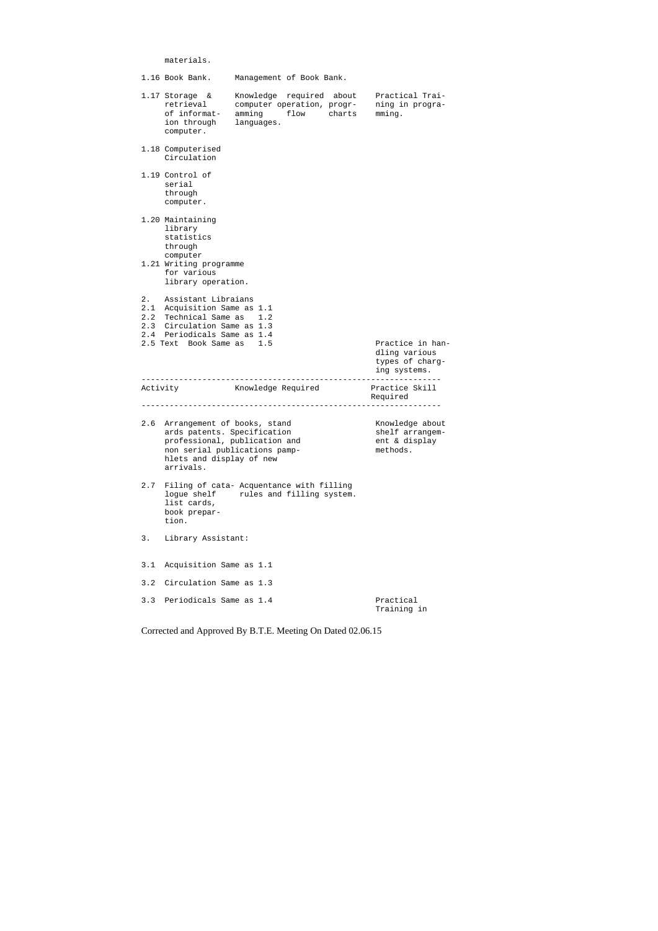materials.

|     | 1.16 Book Bank.                                                                                                                                                        | Management of Book Bank.                                                                      |                                                                      |
|-----|------------------------------------------------------------------------------------------------------------------------------------------------------------------------|-----------------------------------------------------------------------------------------------|----------------------------------------------------------------------|
|     | 1.17 Storage $\&$<br>retrieval<br>of informat-<br>ion through<br>computer.                                                                                             | Knowledge required about<br>computer operation, progr-<br>amming<br>flow charts<br>languages. | Practical Trai-<br>ning in progra-<br>mming.                         |
|     | 1.18 Computerised<br>Circulation                                                                                                                                       |                                                                                               |                                                                      |
|     | 1.19 Control of<br>serial<br>through<br>computer.                                                                                                                      |                                                                                               |                                                                      |
|     | 1.20 Maintaining<br>library<br>statistics<br>through<br>computer<br>1.21 Writing programme<br>for various<br>library operation.                                        |                                                                                               |                                                                      |
| 2.  | Assistant Libraians<br>2.1 Acquisition Same as 1.1<br>2.2 Technical Same as<br>2.3 Circulation Same as 1.3<br>2.4 Periodicals Same as 1.4<br>2.5 Text Book Same as 1.5 | 1.2                                                                                           | Practice in han-<br>dling various<br>types of charg-<br>ing systems. |
|     | Activity                                                                                                                                                               | Knowledge Required                                                                            | Practice Skill<br>Required                                           |
|     | 2.6 Arrangement of books, stand<br>ards patents. Specification<br>hlets and display of new                                                                             | professional, publication and<br>non serial publications pamp-                                | Knowledge about<br>shelf arrangem-<br>ent & display<br>methods.      |
|     | arrivals.                                                                                                                                                              |                                                                                               |                                                                      |
| 2.7 | logue shelf<br>list cards,<br>book prepar-<br>tion.                                                                                                                    | Filing of cata- Acquentance with filling<br>rules and filling system.                         |                                                                      |
| 3.  | Library Assistant:                                                                                                                                                     |                                                                                               |                                                                      |
| 3.1 | Acquisition Same as 1.1                                                                                                                                                |                                                                                               |                                                                      |
| 3.2 | Circulation Same as 1.3                                                                                                                                                |                                                                                               |                                                                      |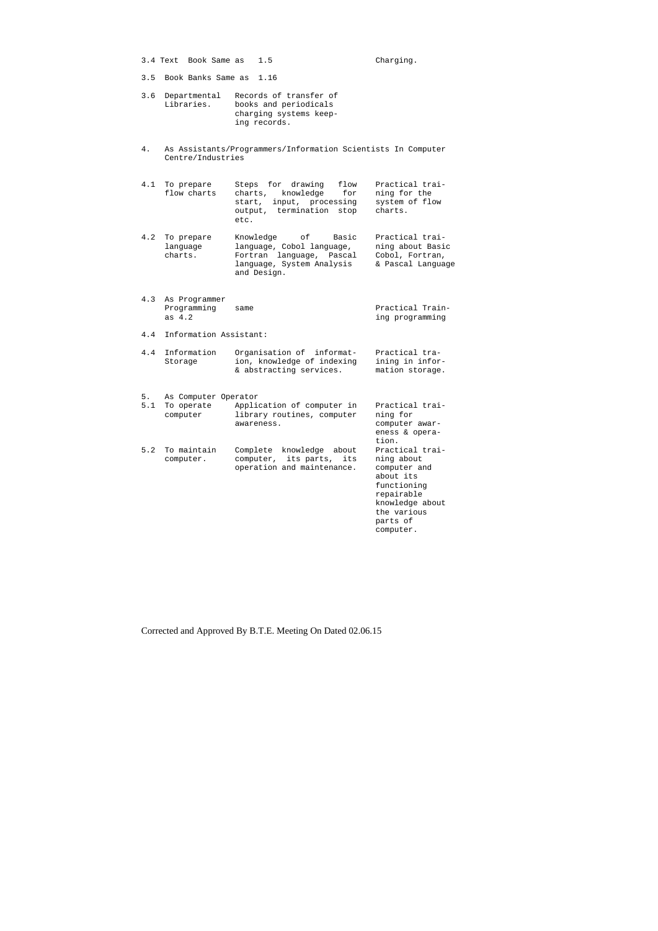3.4 Text Book Same as 1.5 Charging.

3.5 Book Banks Same as 1.16

- 3.6 Departmental Records of transfer of Libraries. books and periodicals charging systems keep ing records.
- 4. As Assistants/Programmers/Information Scientists In Computer Centre/Industries
- 4.1 To prepare Steps for drawing flow Practical trai flow charts charts, knowledge for ning for the start, input, processing system of flow output, termination stop charts. etc.
- 4.2 To prepare Knowledge of Basic Practical trai language language, Cobol language, ning about Basic charts. Fortran language, Pascal Cobol, Fortran, language, System Analysis & Pascal Language and Design.
- 4.3 As Programmer Programming same<br>
as 4.2 ing programming ing programming
- 4.4 Information Assistant:

| 4.4 Information | Organisation of informat-  | Practical tra-  |
|-----------------|----------------------------|-----------------|
| Storage         | ion, knowledge of indexing | ining in infor- |
|                 | & abstracting services.    | mation storage. |

5. As Computer Operator 5.1 To operate Application of computer in Practical trai computer library routines, computer ning for awareness. computer awar tion. 5.2 To maintain Complete knowledge about Practical trai computer. computer, its parts, its ning about operation and maintenance. computer and about its

 eness & opera functioning repairable knowledge about the various parts of computer.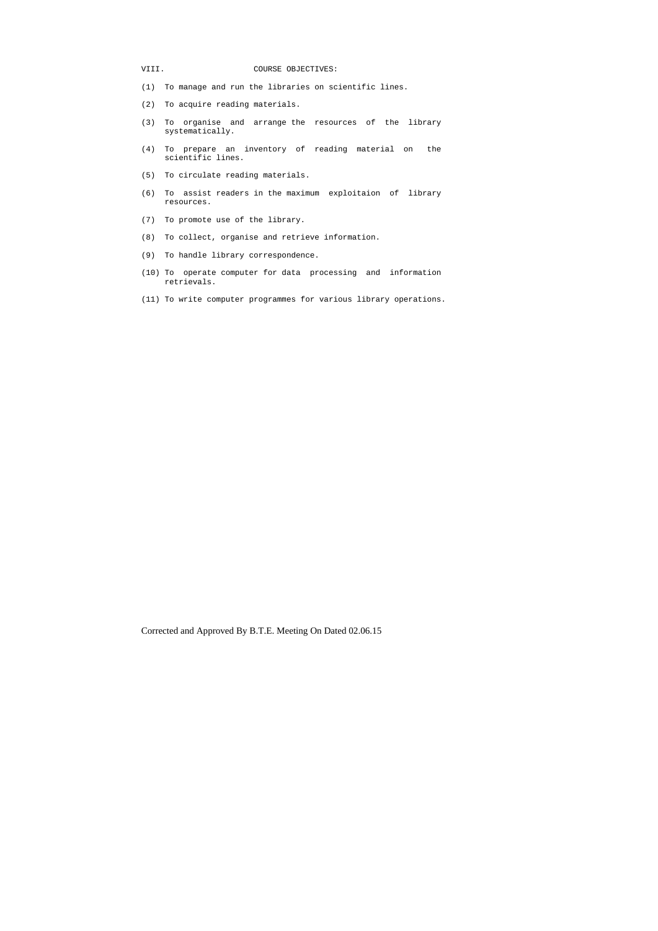## VIII. COURSE OBJECTIVES:

- (1) To manage and run the libraries on scientific lines.
- (2) To acquire reading materials.
- (3) To organise and arrange the resources of the library systematically.
- (4) To prepare an inventory of reading material on the scientific lines.
- (5) To circulate reading materials.
- (6) To assist readers in the maximum exploitaion of library resources.
- (7) To promote use of the library.
- (8) To collect, organise and retrieve information.
- (9) To handle library correspondence.
- (10) To operate computer for data processing and information retrievals.
- (11) To write computer programmes for various library operations.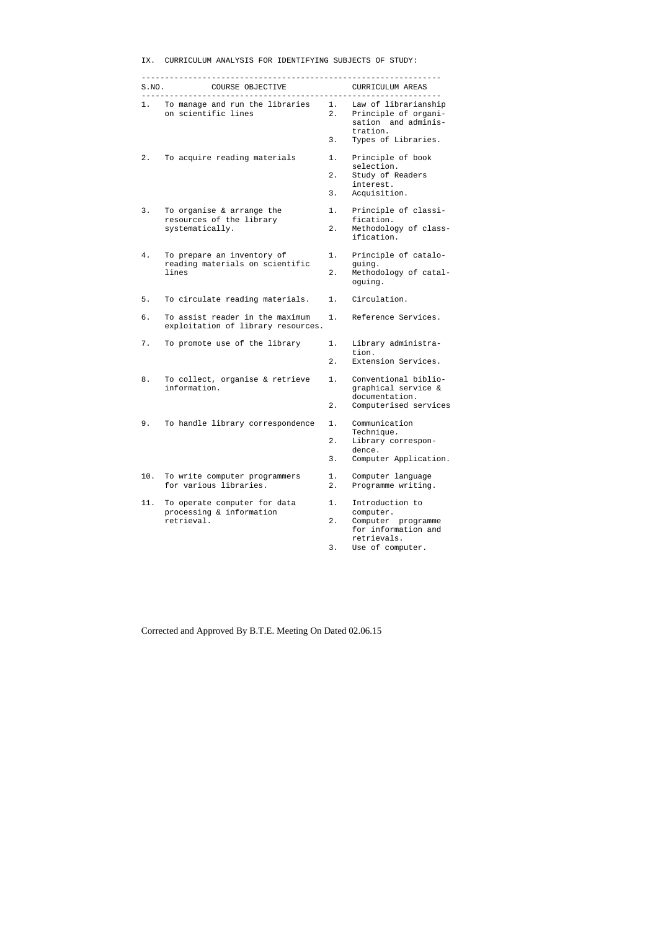|  |  | IX. CURRICULUM ANALYSIS FOR IDENTIFYING SUBJECTS OF STUDY: |  |  |
|--|--|------------------------------------------------------------|--|--|
|  |  |                                                            |  |  |

| S.NO. | COURSE OBJECTIVE                                                      |          | CURRICULUM AREAS                                                                      |
|-------|-----------------------------------------------------------------------|----------|---------------------------------------------------------------------------------------|
|       | 1. To manage and run the libraries<br>on scientific lines             |          | 1. Law of librarianship<br>2. Principle of organi-<br>sation and adminis-<br>tration. |
|       |                                                                       | 3.       | Types of Libraries.                                                                   |
| 2.    | To acquire reading materials                                          | 1.       | Principle of book<br>selection.                                                       |
|       |                                                                       | 2.<br>3. | Study of Readers<br>interest.<br>Acquisition.                                         |
| 3.    | To organise & arrange the                                             | 1.       | Principle of classi-<br>fication.                                                     |
|       | resources of the library<br>systematically.                           | 2.       | Methodology of class-<br>ification.                                                   |
| 4.    | To prepare an inventory of<br>reading materials on scientific         | 1.       | Principle of catalo-<br>guing.                                                        |
|       | lines                                                                 | 2.       | Methodology of catal-<br>oguing.                                                      |
| 5.    | To circulate reading materials.                                       | 1.       | Circulation.                                                                          |
| б.    | To assist reader in the maximum<br>exploitation of library resources. | 1. .     | Reference Services.                                                                   |
| 7.    | To promote use of the library                                         | 1.       | Library administra-<br>tion.                                                          |
|       |                                                                       | 2.       | Extension Services.                                                                   |
| 8.    | To collect, organise & retrieve<br>information.                       | 1.       | Conventional biblio-<br>graphical service &<br>documentation.                         |
|       |                                                                       | 2.       | Computerised services                                                                 |
| q     | To handle library correspondence 1. Communication                     |          | Technique.                                                                            |
|       |                                                                       | 2.       | Library correspon-<br>dence.                                                          |
|       |                                                                       | 3.       | Computer Application.                                                                 |
| 10.   | To write computer programmers<br>for various libraries.               | 1.<br>2. | Computer language<br>Programme writing.                                               |
| 11.   | To operate computer for data<br>processing & information              | 1.       | Introduction to<br>computer.                                                          |
|       | retrieval.                                                            | 2.       | Computer programme<br>for information and                                             |
|       |                                                                       | 3.       | retrievals.<br>Use of computer.                                                       |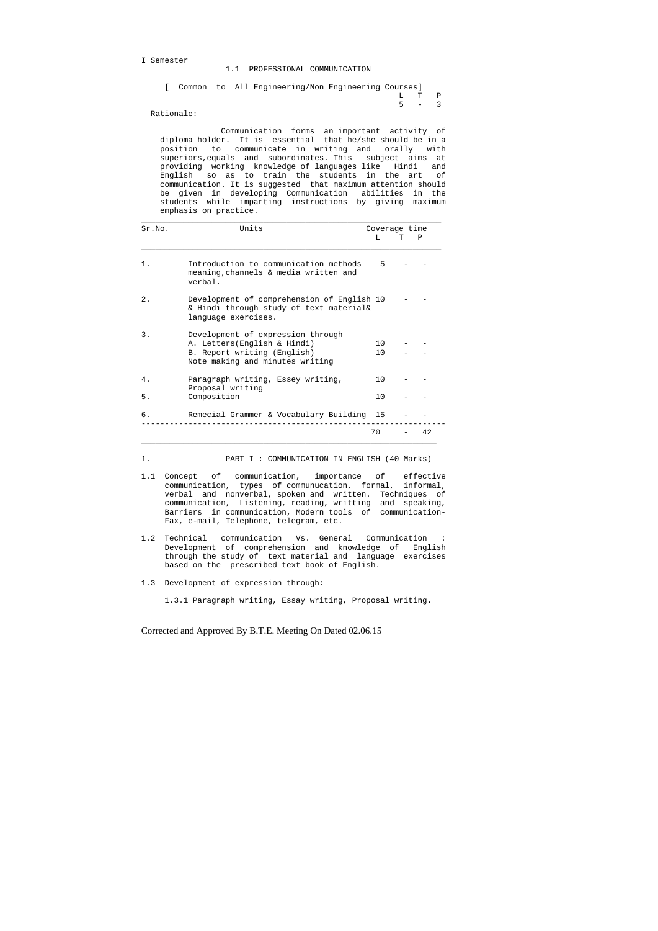I Semester

1.1 PROFESSIONAL COMMUNICATION

|  |  | [ Common to All Engineering/Non Engineering Courses] |  |       |  |
|--|--|------------------------------------------------------|--|-------|--|
|  |  |                                                      |  | L T P |  |
|  |  |                                                      |  | 5 – 3 |  |

Rationale:

 Communication forms an important activity of diploma holder. It is essential that he/she should be in a position to communicate in writing and orally with superiors,equals and subordinates. This subject aims at providing working knowledge of languages like Hindi and English so as to train the students in the art of communication. It is suggested that maximum attention should be given in developing Communication abilities in the students while imparting instructions by giving maximum emphasis on practice.

| Sr.NO. | Units                                                                                                                               | Coverage time          |    |
|--------|-------------------------------------------------------------------------------------------------------------------------------------|------------------------|----|
|        |                                                                                                                                     | T.                     | P  |
| $1$ .  | Introduction to communication methods<br>meaning, channels & media written and<br>verbal.                                           | 5                      |    |
| 2.1    | Development of comprehension of English 10<br>& Hindi through study of text material&<br>language exercises.                        |                        |    |
| 3.     | Development of expression through<br>A. Letters (English & Hindi)<br>B. Report writing (English)<br>Note making and minutes writing | 10 <sup>1</sup><br>1 O |    |
| 4.     | Paragraph writing, Essey writing,<br>Proposal writing                                                                               | 1 Q                    |    |
| 5.     | Composition                                                                                                                         | 10                     |    |
| б.     | Remecial Grammer & Vocabulary Building 15                                                                                           |                        |    |
|        |                                                                                                                                     | 70                     | 42 |

1. PART I : COMMUNICATION IN ENGLISH (40 Marks)

- 1.1 Concept of communication, importance of effective communication, types of communucation, formal, informal, verbal and nonverbal, spoken and written. Techniques of communication, Listening, reading, writting and speaking, Barriers in communication, Modern tools of communication- Fax, e-mail, Telephone, telegram, etc.
- 1.2 Technical communication Vs. General Communication : Development of comprehension and knowledge of English through the study of text material and language exercises based on the prescribed text book of English.
- 1.3 Development of expression through:

1.3.1 Paragraph writing, Essay writing, Proposal writing.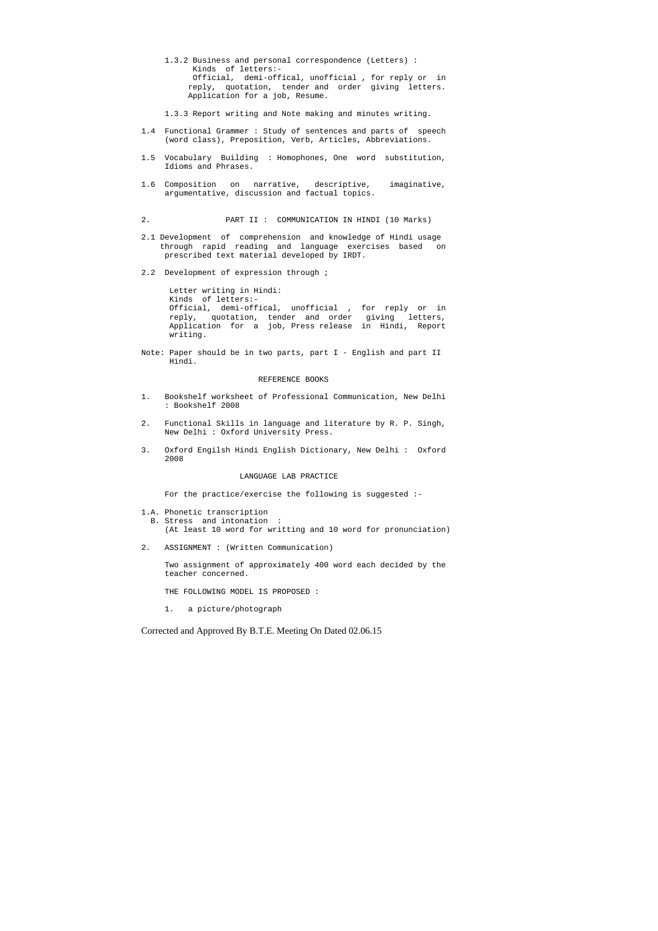- 1.3.2 Business and personal correspondence (Letters) : Kinds of letters:- Official, demi-offical, unofficial , for reply or in reply, quotation, tender and order giving letters. Application for a job, Resume.
- 1.3.3 Report writing and Note making and minutes writing.
- 1.4 Functional Grammer : Study of sentences and parts of speech (word class), Preposition, Verb, Articles, Abbreviations.
- 1.5 Vocabulary Building : Homophones, One word substitution, Idioms and Phrases.
- 1.6 Composition on narrative, descriptive, imaginative, argumentative, discussion and factual topics.
- 2. PART II : COMMUNICATION IN HINDI (10 Marks)
- 2.1 Development of comprehension and knowledge of Hindi usage through rapid reading and language exercises based on prescribed text material developed by IRDT.
- 2.2 Development of expression through ;

 Letter writing in Hindi: Kinds of letters:- Official, demi-offical, unofficial , for reply or in reply, quotation, tender and order giving letters, Application for a job, Press release in Hindi, Report writing.

Note: Paper should be in two parts, part I - English and part II Hindi.

#### REFERENCE BOOKS

- 1. Bookshelf worksheet of Professional Communication, New Delhi : Bookshelf 2008
- 2. Functional Skills in language and literature by R. P. Singh, New Delhi : Oxford University Press.
- 3. Oxford Engilsh Hindi English Dictionary, New Delhi : Oxford 2008

#### LANGUAGE LAB PRACTICE

For the practice/exercise the following is suggested :-

1.A. Phonetic transcription B. Stress and intonation :

(At least 10 word for writting and 10 word for pronunciation)

2. ASSIGNMENT : (Written Communication)

 Two assignment of approximately 400 word each decided by the teacher concerned.

THE FOLLOWING MODEL IS PROPOSED :

1. a picture/photograph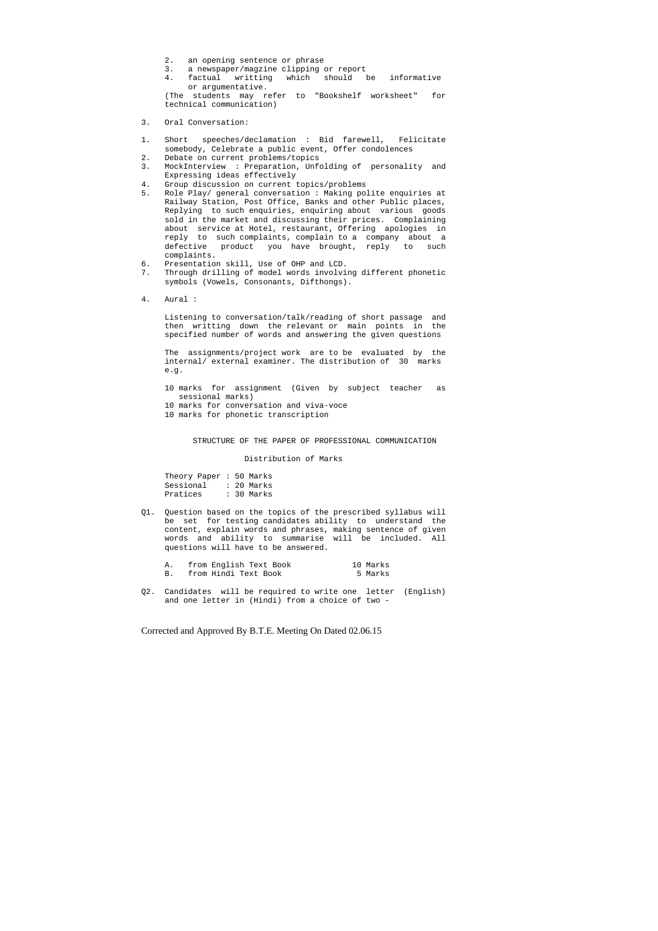- 2. an opening sentence or phrase
- 3. a newspaper/magzine clipping or report
- 4. factual writting which should be informative or argumentative.

 (The students may refer to "Bookshelf worksheet" for technical communication)

- 3. Oral Conversation:
- 1. Short speeches/declamation : Bid farewell, Felicitate somebody, Celebrate a public event, Offer condolences
- 2. Debate on current problems/topics
- 3. MockInterview : Preparation, Unfolding of personality and Expressing ideas effectively
- 4. Group discussion on current topics/problems
- 5. Role Play/ general conversation : Making polite enquiries at Railway Station, Post Office, Banks and other Public places, Replying to such enquiries, enquiring about various goods sold in the market and discussing their prices. Complaining about service at Hotel, restaurant, Offering apologies in reply to such complaints, complain to a company about a defective product you have brought, reply to such complaints.
- 6. Presentation skill, Use of OHP and LCD.
- 7. Through drilling of model words involving different phonetic symbols (Vowels, Consonants, Difthongs).
- 4. Aural :

 Theory Paper : 50 Marks Sessional : 20 Marks Pratices : 30 Marks

 Listening to conversation/talk/reading of short passage and then writting down the relevant or main points in the specified number of words and answering the given questions

 The assignments/project work are to be evaluated by the internal/ external examiner. The distribution of 30 marks e.g.

- 10 marks for assignment (Given by subject teacher as sessional marks)
- 10 marks for conversation and viva-voce
- 10 marks for phonetic transcription

STRUCTURE OF THE PAPER OF PROFESSIONAL COMMUNICATION

Distribution of Marks

Q1. Question based on the topics of the prescribed syllabus will be set for testing candidates ability to understand the content, explain words and phrases, making sentence of given words and ability to summarise will be included. All questions will have to be answered.

| from English Text Book | 10 Marks |
|------------------------|----------|
| from Hindi Text Book   | 5 Marks  |

Q2. Candidates will be required to write one letter (English) and one letter in (Hindi) from a choice of two -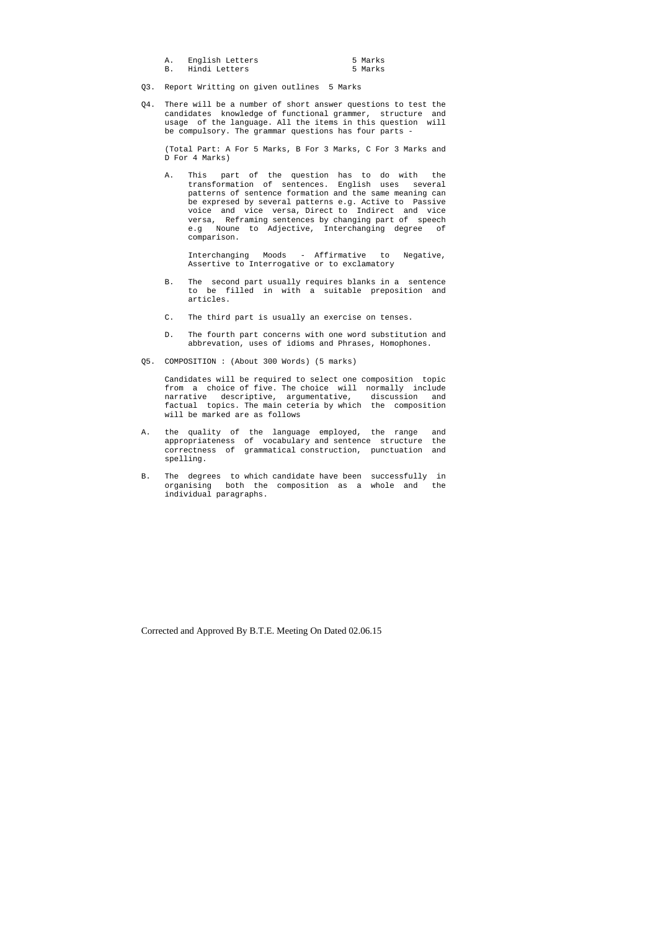| English Letters | 5 Marks |
|-----------------|---------|
| Hindi Letters   | 5 Marks |

- Q3. Report Writting on given outlines 5 Marks
- Q4. There will be a number of short answer questions to test the candidates knowledge of functional grammer, structure and usage of the language. All the items in this question will be compulsory. The grammar questions has four parts -

 (Total Part: A For 5 Marks, B For 3 Marks, C For 3 Marks and D For 4 Marks)

 A. This part of the question has to do with the transformation of sentences. English uses several patterns of sentence formation and the same meaning can be expresed by several patterns e.g. Active to Passive voice and vice versa, Direct to Indirect and vice versa, Reframing sentences by changing part of speech e.g Noune to Adjective, Interchanging degree of comparison.

 Interchanging Moods - Affirmative to Negative, Assertive to Interrogative or to exclamatory

- B. The second part usually requires blanks in a sentence to be filled in with a suitable preposition and articles.
- C. The third part is usually an exercise on tenses.
- D. The fourth part concerns with one word substitution and abbrevation, uses of idioms and Phrases, Homophones.
- Q5. COMPOSITION : (About 300 Words) (5 marks)

 Candidates will be required to select one composition topic from a choice of five. The choice will normally include narrative descriptive, argumentative, discussion and factual topics. The main ceteria by which the composition will be marked are as follows

- A. the quality of the language employed, the range and appropriateness of vocabulary and sentence structure the correctness of grammatical construction, punctuation and spelling.
- B. The degrees to which candidate have been successfully in organising both the composition as a whole and the individual paragraphs.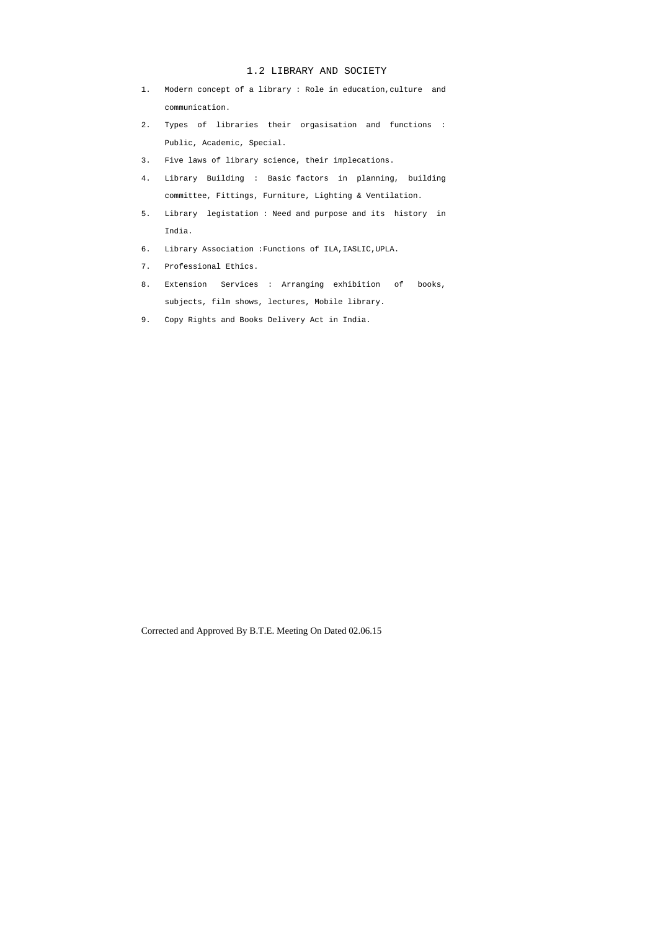## 1.2 LIBRARY AND SOCIETY

- 1. Modern concept of a library : Role in education,culture and communication.
- 2. Types of libraries their orgasisation and functions : Public, Academic, Special.
- 3. Five laws of library science, their implecations.
- 4. Library Building : Basic factors in planning, building committee, Fittings, Furniture, Lighting & Ventilation.
- 5. Library legistation : Need and purpose and its history in India.
- 6. Library Association :Functions of ILA,IASLIC,UPLA.
- 7. Professional Ethics.
- 8. Extension Services : Arranging exhibition of books, subjects, film shows, lectures, Mobile library.
- 9. Copy Rights and Books Delivery Act in India.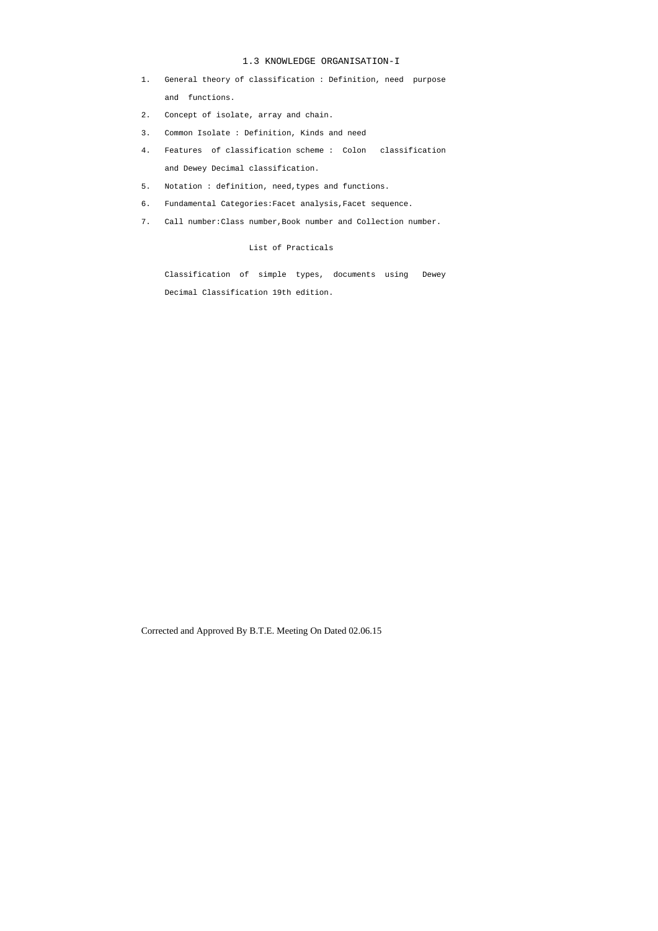## 1.3 KNOWLEDGE ORGANISATION-I

- 1. General theory of classification : Definition, need purpose and functions.
- 2. Concept of isolate, array and chain.
- 3. Common Isolate : Definition, Kinds and need
- 4. Features of classification scheme : Colon classification and Dewey Decimal classification.
- 5. Notation : definition, need,types and functions.
- 6. Fundamental Categories:Facet analysis,Facet sequence.
- 7. Call number:Class number,Book number and Collection number.

## List of Practicals

 Classification of simple types, documents using Dewey Decimal Classification 19th edition.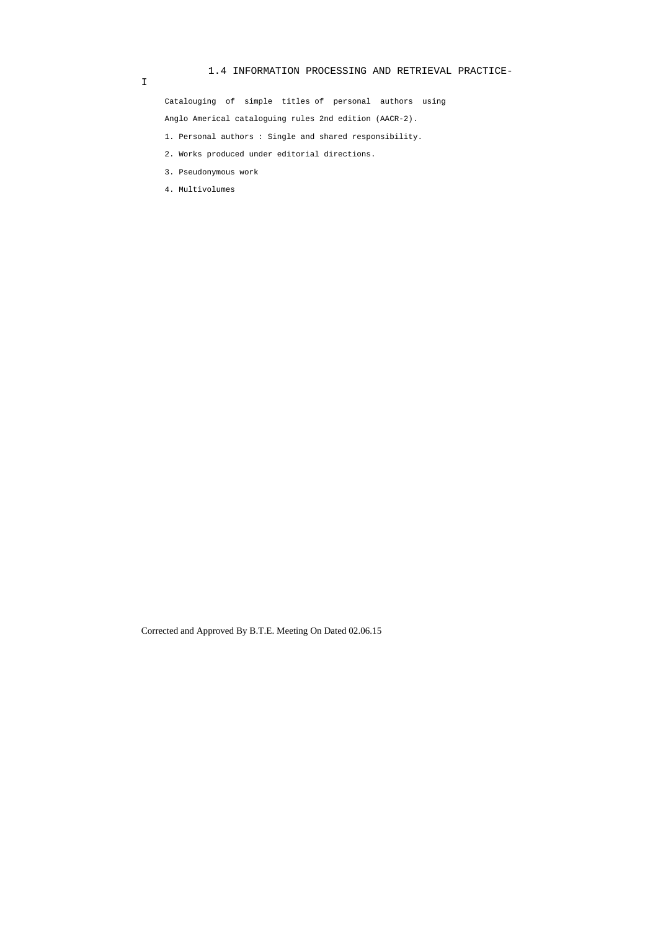# 1.4 INFORMATION PROCESSING AND RETRIEVAL PRACTICE-

I

 Catalouging of simple titles of personal authors using Anglo Americal cataloguing rules 2nd edition (AACR-2).

1. Personal authors : Single and shared responsibility.

- 2. Works produced under editorial directions.
- 3. Pseudonymous work
- 4. Multivolumes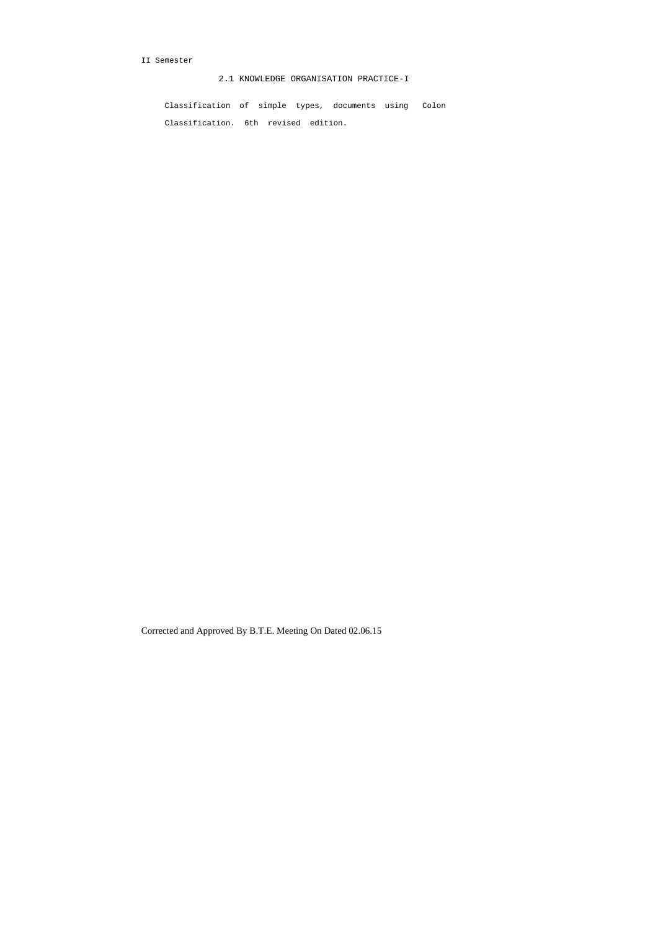## II Semester

2.1 KNOWLEDGE ORGANISATION PRACTICE-I

 Classification of simple types, documents using Colon Classification. 6th revised edition.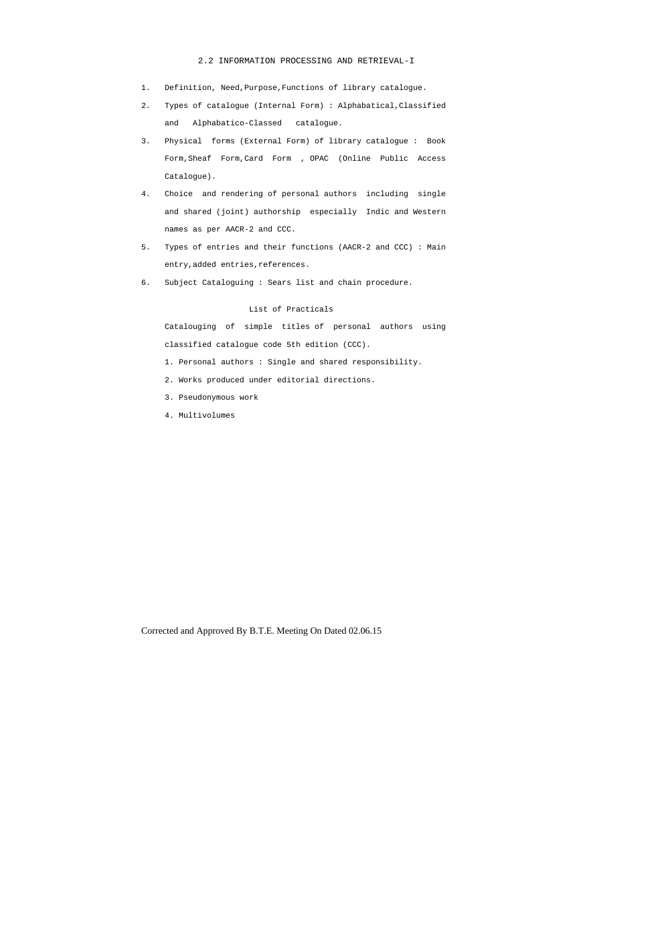## 2.2 INFORMATION PROCESSING AND RETRIEVAL-I

- 1. Definition, Need,Purpose,Functions of library catalogue.
- 2. Types of catalogue (Internal Form) : Alphabatical,Classified and Alphabatico-Classed catalogue.
- 3. Physical forms (External Form) of library catalogue : Book Form,Sheaf Form,Card Form , OPAC (Online Public Access Catalogue).
- 4. Choice and rendering of personal authors including single and shared (joint) authorship especially Indic and Western names as per AACR-2 and CCC.
- 5. Types of entries and their functions (AACR-2 and CCC) : Main entry,added entries,references.
- 6. Subject Cataloguing : Sears list and chain procedure.

# List of Practicals

 Catalouging of simple titles of personal authors using classified catalogue code 5th edition (CCC).

- 1. Personal authors : Single and shared responsibility.
- 2. Works produced under editorial directions.
- 3. Pseudonymous work
- 4. Multivolumes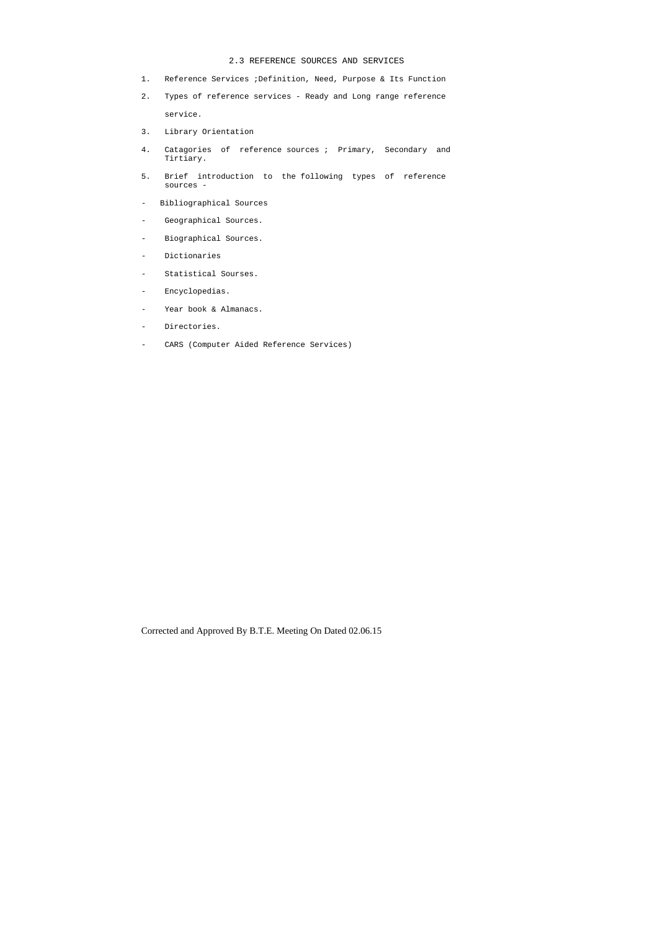#### 2.3 REFERENCE SOURCES AND SERVICES

- 1. Reference Services ;Definition, Need, Purpose & Its Function
- 2. Types of reference services Ready and Long range reference service.
- 3. Library Orientation
- 4. Catagories of reference sources ; Primary, Secondary and Tirtiary.
- 5. Brief introduction to the following types of reference sources -
- Bibliographical Sources
- Geographical Sources.
- Biographical Sources.
- Dictionaries
- Statistical Sourses.
- Encyclopedias.
- Year book & Almanacs.
- Directories.
- CARS (Computer Aided Reference Services)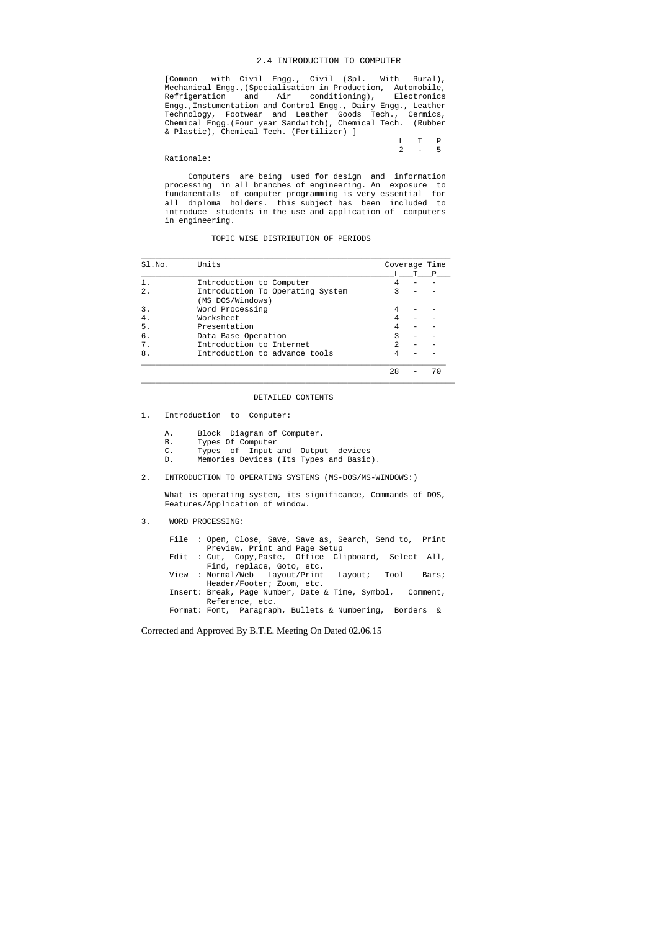#### 2.4 INTRODUCTION TO COMPUTER

 [Common with Civil Engg., Civil (Spl. With Rural), Mechanical Engg.,(Specialisation in Production, Automobile, Refrigeration and Air conditioning), Electronics Engg.,Instumentation and Control Engg., Dairy Engg., Leather Technology, Footwear and Leather Goods Tech., Cermics, Chemical Engg.(Four year Sandwitch), Chemical Tech. (Rubber & Plastic), Chemical Tech. (Fertilizer) ]

|  | L T P   |  |
|--|---------|--|
|  | $2 - 5$ |  |

#### Rationale:

 Computers are being used for design and information processing in all branches of engineering. An exposure to fundamentals of computer programming is very essential for all diploma holders. this subject has been included to introduce students in the use and application of computers in engineering.

#### TOPIC WISE DISTRIBUTION OF PERIODS

| SI.NO. | Units                                                | Coverage Time |   |
|--------|------------------------------------------------------|---------------|---|
|        |                                                      |               | P |
| $1$ .  | Introduction to Computer                             |               |   |
| 2.     | Introduction To Operating System<br>(MS DOS/Windows) |               |   |
| 3.     | Word Processing                                      |               |   |
| 4.     | Worksheet                                            |               |   |
| 5.     | Presentation                                         |               |   |
| б.     | Data Base Operation                                  |               |   |
| 7.     | Introduction to Internet                             |               |   |
| 8.     | Introduction to advance tools                        |               |   |
|        |                                                      | 28            |   |

#### DETAILED CONTENTS

 $\_$  ,  $\_$  ,  $\_$  ,  $\_$  ,  $\_$  ,  $\_$  ,  $\_$  ,  $\_$  ,  $\_$  ,  $\_$  ,  $\_$  ,  $\_$  ,  $\_$  ,  $\_$  ,  $\_$  ,  $\_$  ,  $\_$  ,  $\_$  ,  $\_$  ,  $\_$  ,  $\_$  ,  $\_$  ,  $\_$  ,  $\_$  ,  $\_$  ,  $\_$  ,  $\_$  ,  $\_$  ,  $\_$  ,  $\_$  ,  $\_$  ,  $\_$  ,  $\_$  ,  $\_$  ,  $\_$  ,  $\_$  ,  $\_$  ,

- 1. Introduction to Computer:
	- A. Block Diagram of Computer.
	- B. Types Of Computer
	- C. Types of Input and Output devices
	- D. Memories Devices (Its Types and Basic).
- 2. INTRODUCTION TO OPERATING SYSTEMS (MS-DOS/MS-WINDOWS:)

 What is operating system, its significance, Commands of DOS, Features/Application of window.

#### 3. WORD PROCESSING:

 File : Open, Close, Save, Save as, Search, Send to, Print Preview, Print and Page Setup Edit : Cut, Copy,Paste, Office Clipboard, Select All, Find, replace, Goto, etc.<br>Normal/Web Layout/Print Layout; Tool View : Normal/Web Layout/Print Layout; Tool Bars; Header/Footer; Zoom, etc. Insert: Break, Page Number, Date & Time, Symbol, Comment, Reference, etc. Format: Font, Paragraph, Bullets & Numbering, Borders &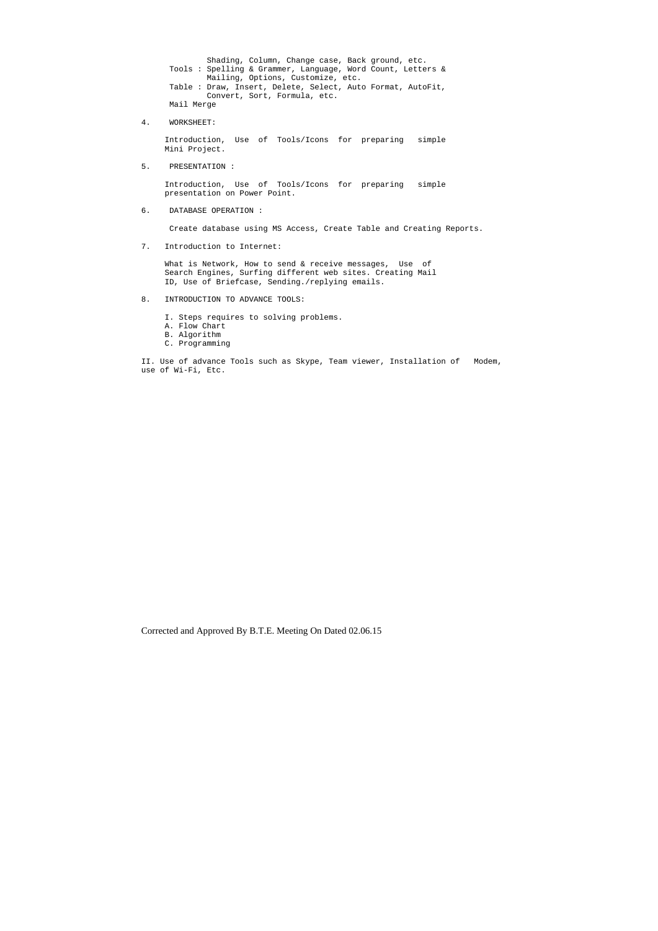Shading, Column, Change case, Back ground, etc. Tools : Spelling & Grammer, Language, Word Count, Letters & Mailing, Options, Customize, etc. Table : Draw, Insert, Delete, Select, Auto Format, AutoFit, Convert, Sort, Formula, etc. Mail Merge

4. WORKSHEET:

 Introduction, Use of Tools/Icons for preparing simple Mini Project.

What is Network, How to send & receive messages, Use of Search Engines, Surfing different web sites. Creating Mail ID, Use of Briefcase, Sending./replying emails.

5. PRESENTATION :

 Introduction, Use of Tools/Icons for preparing simple presentation on Power Point.

6. DATABASE OPERATION :

Create database using MS Access, Create Table and Creating Reports.

7. Introduction to Internet:

- 8. INTRODUCTION TO ADVANCE TOOLS:
	- I. Steps requires to solving problems.
	- A. Flow Chart
	- B. Algorithm
	- C. Programming

II. Use of advance Tools such as Skype, Team viewer, Installation of Modem, use of Wi-Fi, Etc.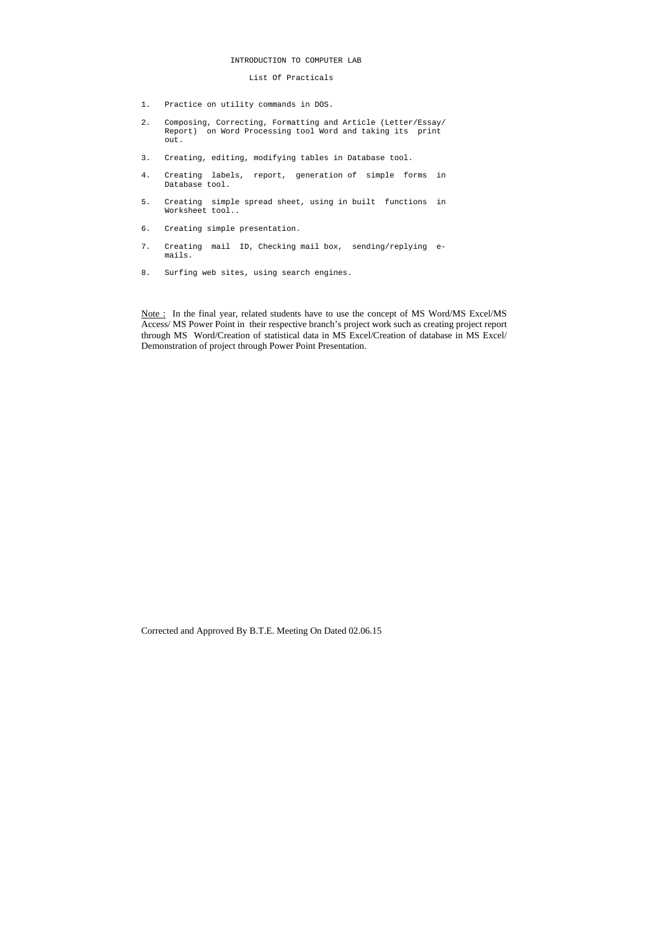#### INTRODUCTION TO COMPUTER LAB

#### List Of Practicals

- 1. Practice on utility commands in DOS.
- 2. Composing, Correcting, Formatting and Article (Letter/Essay/ Report) on Word Processing tool Word and taking its print out.
- 3. Creating, editing, modifying tables in Database tool.
- 4. Creating labels, report, generation of simple forms in Database tool.
- 5. Creating simple spread sheet, using in built functions in Worksheet tool..
- 6. Creating simple presentation.
- 7. Creating mail ID, Checking mail box, sending/replying e mails.
- 8. Surfing web sites, using search engines.

Note : In the final year, related students have to use the concept of MS Word/MS Excel/MS Access/ MS Power Point in their respective branch's project work such as creating project report through MS Word/Creation of statistical data in MS Excel/Creation of database in MS Excel/ Demonstration of project through Power Point Presentation.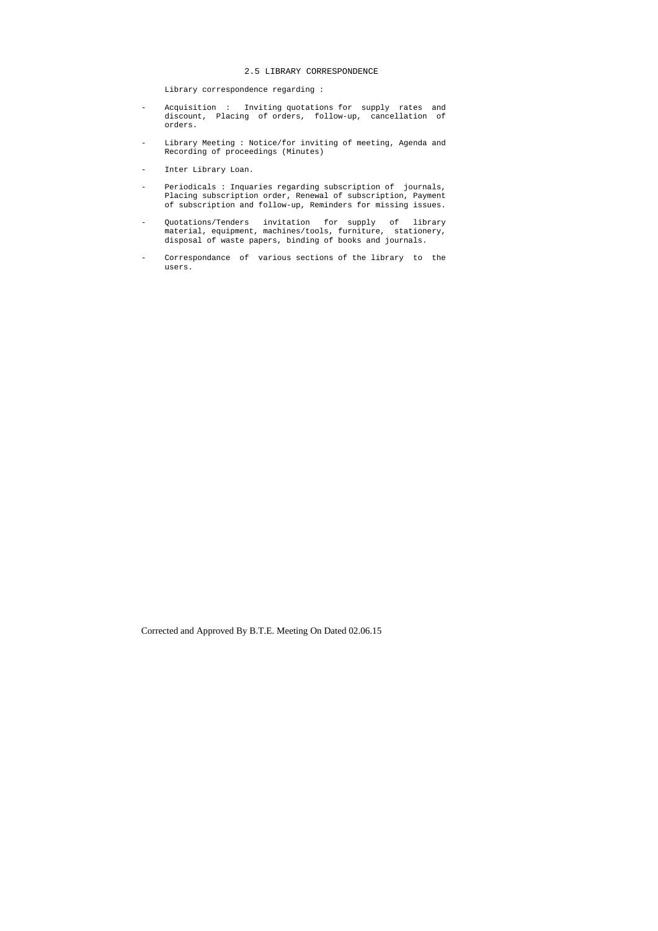## 2.5 LIBRARY CORRESPONDENCE

Library correspondence regarding :

- Acquisition : Inviting quotations for supply rates and discount, Placing of orders, follow-up, cancellation of orders.
- Library Meeting : Notice/for inviting of meeting, Agenda and Recording of proceedings (Minutes)
- Inter Library Loan.
- Periodicals : Inquaries regarding subscription of journals, Placing subscription order, Renewal of subscription, Payment of subscription and follow-up, Reminders for missing issues.
- Quotations/Tenders invitation for supply of library material, equipment, machines/tools, furniture, stationery, disposal of waste papers, binding of books and journals.
- Correspondance of various sections of the library to the users.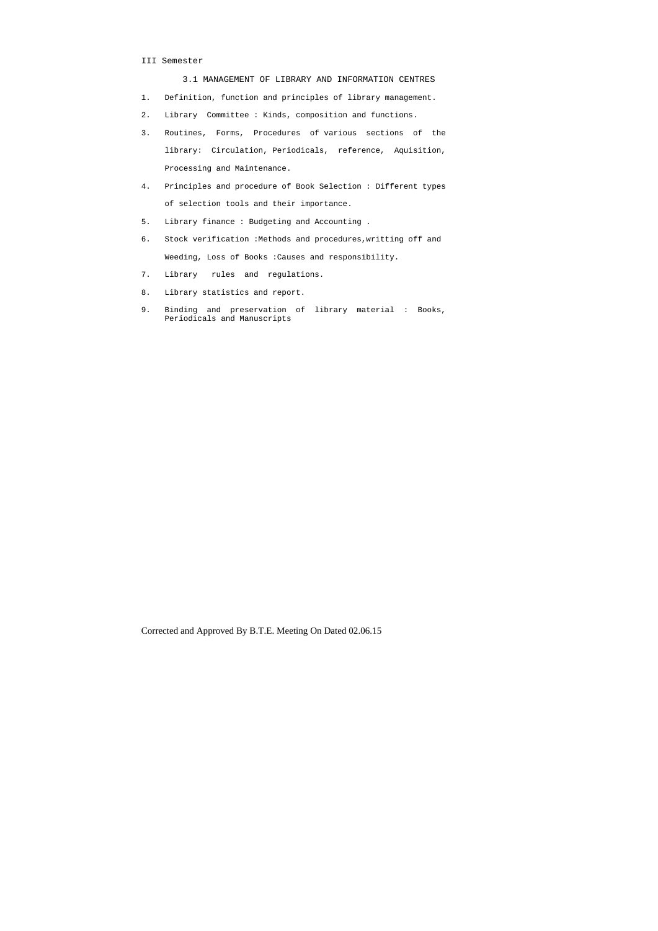## III Semester

3.1 MANAGEMENT OF LIBRARY AND INFORMATION CENTRES

- 1. Definition, function and principles of library management.
- 2. Library Committee : Kinds, composition and functions.
- 3. Routines, Forms, Procedures of various sections of the library: Circulation, Periodicals, reference, Aquisition, Processing and Maintenance.
- 4. Principles and procedure of Book Selection : Different types of selection tools and their importance.
- 5. Library finance : Budgeting and Accounting .
- 6. Stock verification :Methods and procedures,writting off and Weeding, Loss of Books :Causes and responsibility.
- 7. Library rules and regulations.
- 8. Library statistics and report.
- 9. Binding and preservation of library material : Books, Periodicals and Manuscripts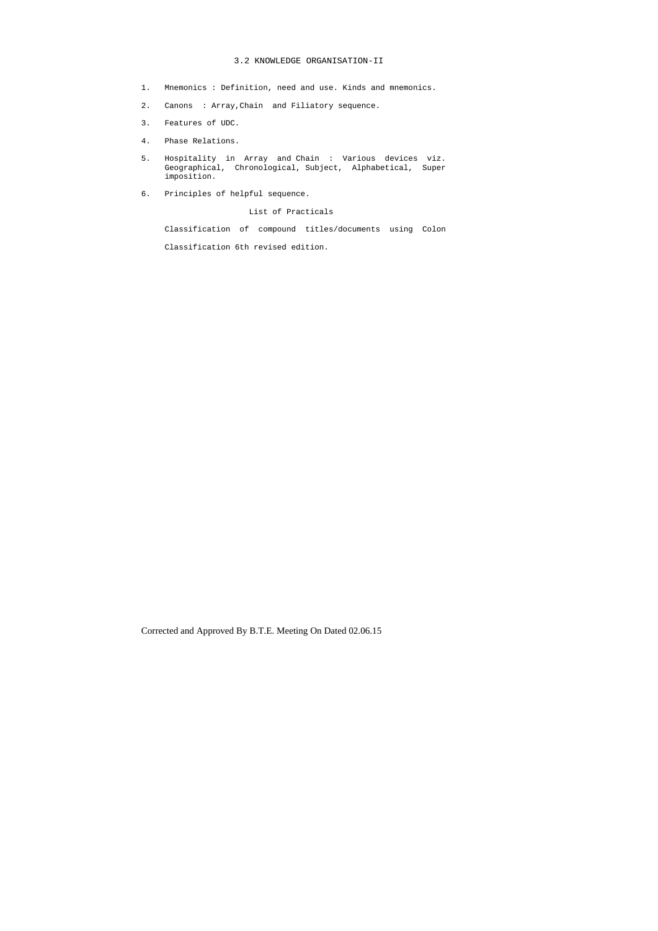## 3.2 KNOWLEDGE ORGANISATION-II

- 1. Mnemonics : Definition, need and use. Kinds and mnemonics.
- 2. Canons : Array,Chain and Filiatory sequence.
- 3. Features of UDC.
- 4. Phase Relations.
- 5. Hospitality in Array and Chain : Various devices viz. Geographical, Chronological, Subject, Alphabetical, Super imposition.
- 6. Principles of helpful sequence.

List of Practicals

Classification of compound titles/documents using Colon

Classification 6th revised edition.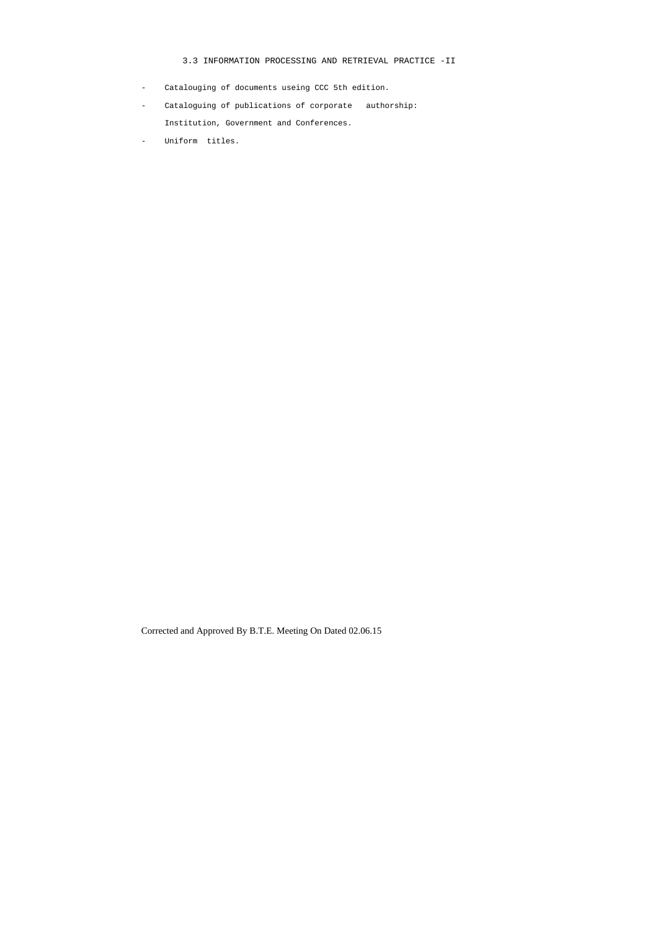# 3.3 INFORMATION PROCESSING AND RETRIEVAL PRACTICE -II

- Catalouging of documents useing CCC 5th edition.
- Cataloguing of publications of corporate authorship: Institution, Government and Conferences.
- Uniform titles.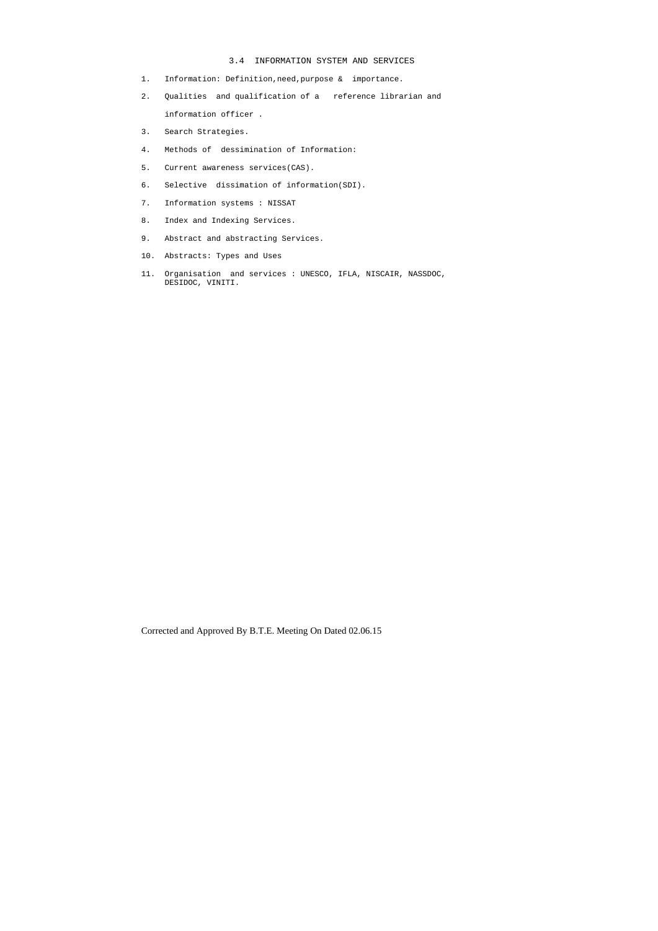## 3.4 INFORMATION SYSTEM AND SERVICES

- 1. Information: Definition,need,purpose & importance.
- 2. Qualities and qualification of a reference librarian and information officer .
- 3. Search Strategies.
- 4. Methods of dessimination of Information:
- 5. Current awareness services(CAS).
- 6. Selective dissimation of information(SDI).
- 7. Information systems : NISSAT
- 8. Index and Indexing Services.
- 9. Abstract and abstracting Services.
- 10. Abstracts: Types and Uses
- 11. Organisation and services : UNESCO, IFLA, NISCAIR, NASSDOC, DESIDOC, VINITI.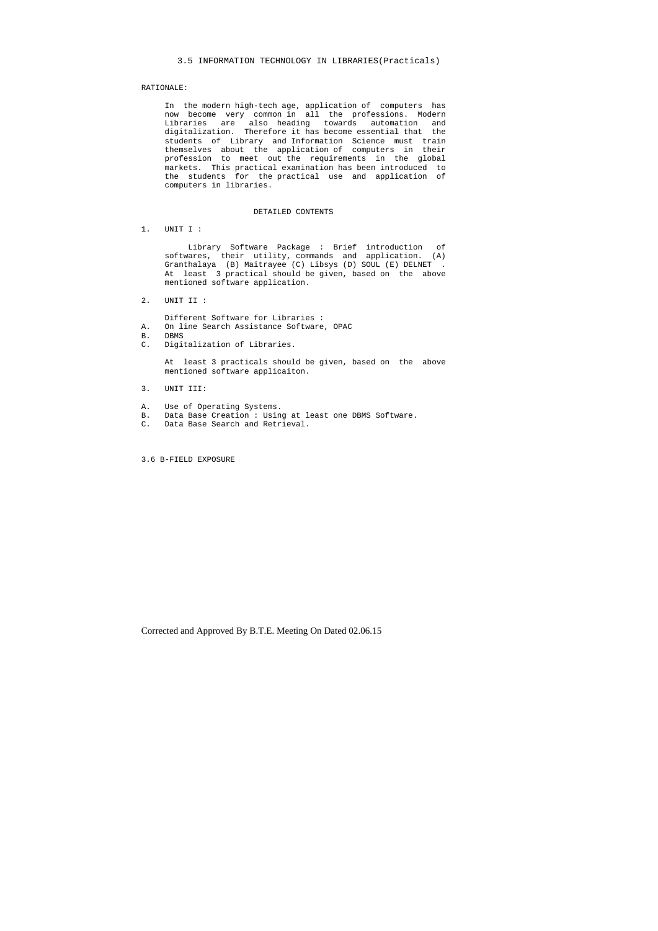3.5 INFORMATION TECHNOLOGY IN LIBRARIES(Practicals)

## RATIONALE:

 In the modern high-tech age, application of computers has now become very common in all the professions. Modern Libraries are also heading towards automation and digitalization. Therefore it has become essential that the students of Library and Information Science must train themselves about the application of computers in their profession to meet out the requirements in the global markets. This practical examination has been introduced to the students for the practical use and application of computers in libraries.

#### DETAILED CONTENTS

1. UNIT I :

 Library Software Package : Brief introduction of softwares, their utility, commands and application. (A) Granthalaya (B) Maitrayee (C) Libsys (D) SOUL (E) DELNET . At least 3 practical should be given, based on the above mentioned software application.

2. UNIT II :

Different Software for Libraries :

- A. On line Search Assistance Software, OPAC
- B. DBMS
- C. Digitalization of Libraries.

 At least 3 practicals should be given, based on the above mentioned software applicaiton.

- 3. UNIT III:
- A. Use of Operating Systems.
- B. Data Base Creation : Using at least one DBMS Software.
- C. Data Base Search and Retrieval.

3.6 B-FIELD EXPOSURE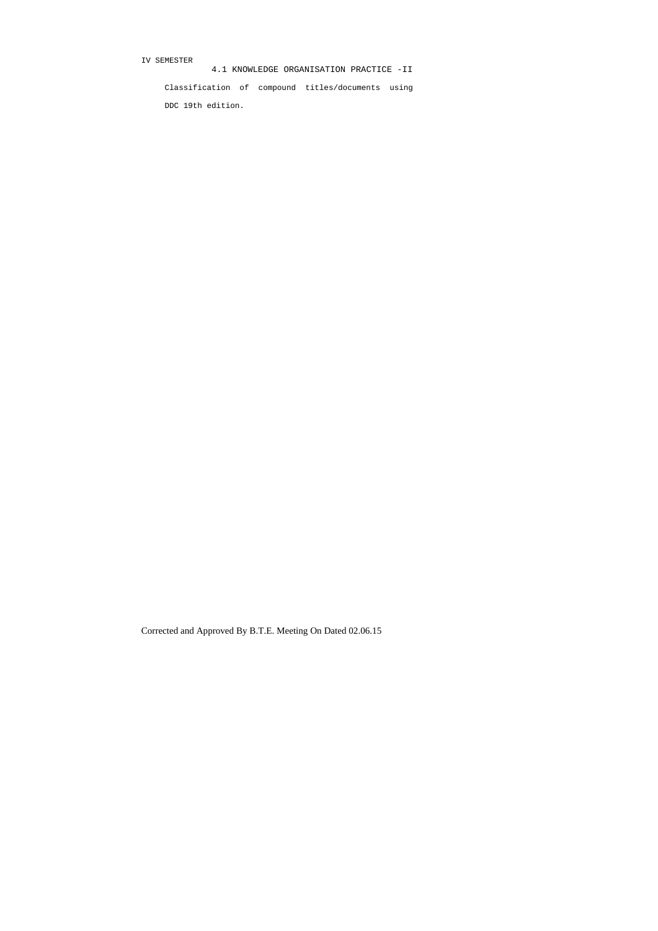IV SEMESTER

4.1 KNOWLEDGE ORGANISATION PRACTICE -II

 Classification of compound titles/documents using DDC 19th edition.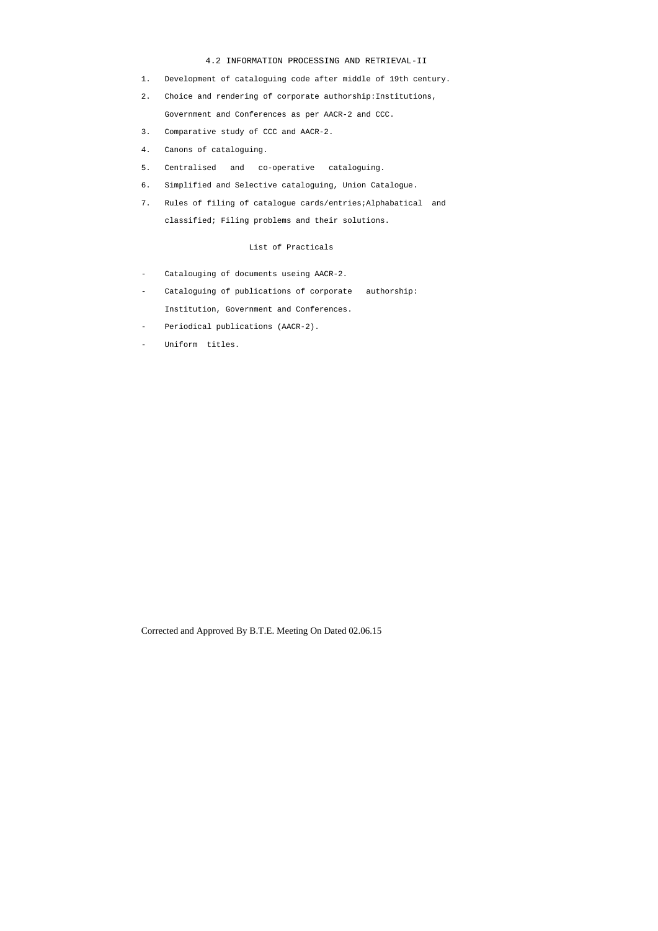#### 4.2 INFORMATION PROCESSING AND RETRIEVAL-II

- 1. Development of cataloguing code after middle of 19th century.
- 2. Choice and rendering of corporate authorship:Institutions, Government and Conferences as per AACR-2 and CCC.
- 3. Comparative study of CCC and AACR-2.
- 4. Canons of cataloguing.
- 5. Centralised and co-operative cataloguing.
- 6. Simplified and Selective cataloguing, Union Catalogue.
- 7. Rules of filing of catalogue cards/entries;Alphabatical and classified; Filing problems and their solutions.

# List of Practicals

- Catalouging of documents useing AACR-2.
- Cataloguing of publications of corporate authorship: Institution, Government and Conferences.
- Periodical publications (AACR-2).
- Uniform titles.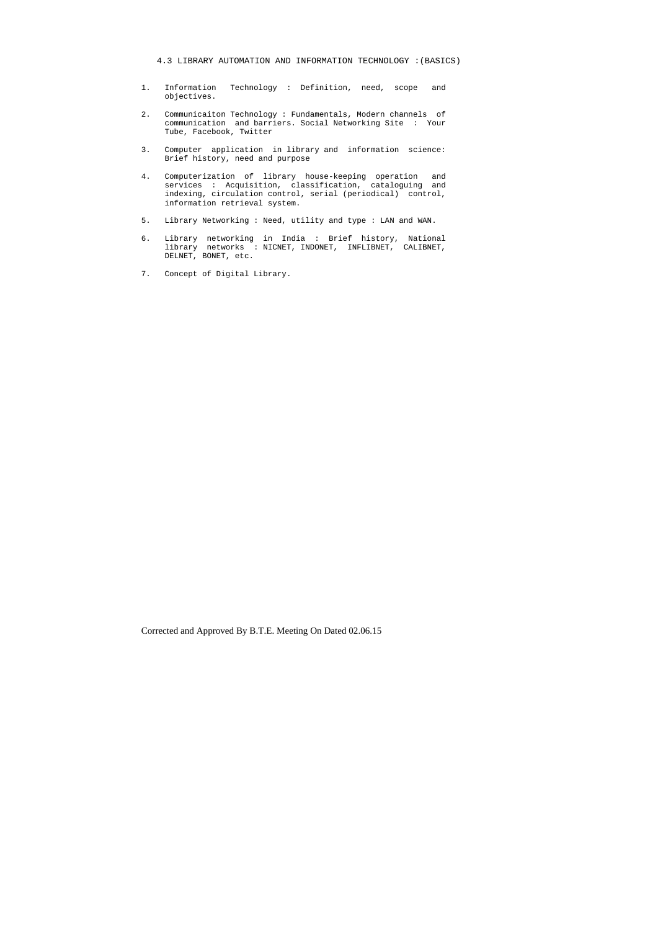- 1. Information Technology : Definition, need, scope and objectives.
- 2. Communicaiton Technology : Fundamentals, Modern channels of communication and barriers. Social Networking Site : Your Tube, Facebook, Twitter
- 3. Computer application in library and information science: Brief history, need and purpose
- 4. Computerization of library house-keeping operation and services : Acquisition, classification, cataloguing and indexing, circulation control, serial (periodical) control, information retrieval system.
- 5. Library Networking : Need, utility and type : LAN and WAN.
- 6. Library networking in India : Brief history, National library networks : NICNET, INDONET, INFLIBNET, CALIBNET, DELNET, BONET, etc.
- 7. Concept of Digital Library.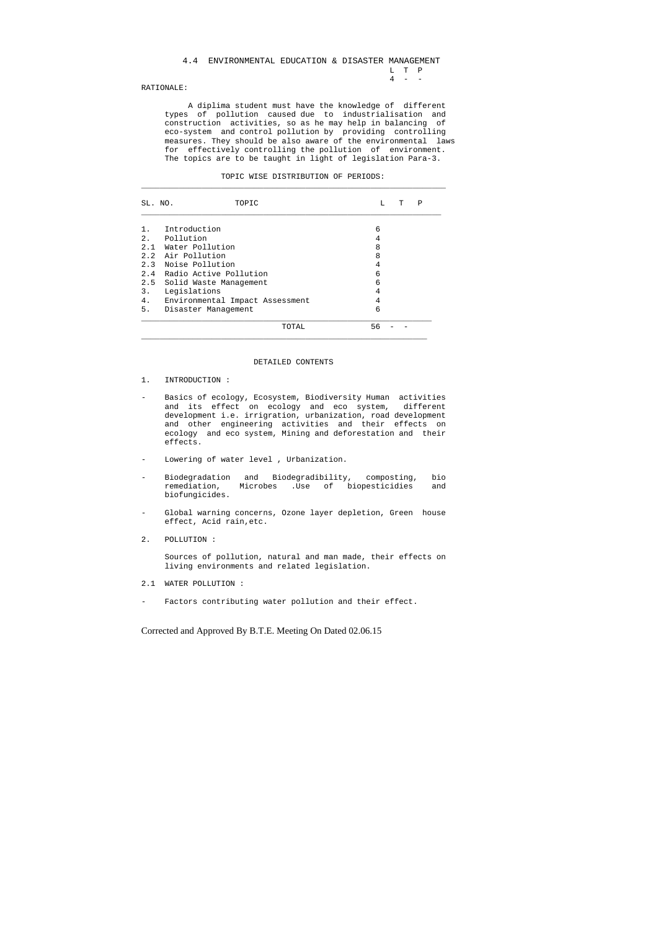## 4.4 ENVIRONMENTAL EDUCATION & DISASTER MANAGEMENT  $\begin{array}{ccc} \mathtt{L} & \mathtt{T} & \mathtt{P} \\ \mathtt{4} & - & - \end{array}$  $4 - -$

## RATIONALE:

 A diplima student must have the knowledge of different types of pollution caused due to industrialisation and construction activities, so as he may help in balancing of eco-system and control pollution by providing controlling measures. They should be also aware of the environmental laws for effectively controlling the pollution of environment. The topics are to be taught in light of legislation Para-3.

| MOMTA | ĪЛ | STR I RITT I ON<br>້ | ∩ஈ<br>ັ | <b>1</b> L. L<br>◡◡◡<br>------ |  |
|-------|----|----------------------|---------|--------------------------------|--|
|       |    |                      |         |                                |  |

| SL. NO. | TOPIC                           | Ρ<br>L<br>т |  |
|---------|---------------------------------|-------------|--|
|         | Introduction                    | 6           |  |
|         | 2. Pollution                    | 4           |  |
| 2.1     | Water Pollution                 | 8           |  |
|         | 2.2 Air Pollution               | 8           |  |
|         | 2.3 Noise Pollution             | 4           |  |
|         | 2.4 Radio Active Pollution      | 6           |  |
| 2.5     | Solid Waste Management          | 6           |  |
| 3.      | Legislations                    | 4           |  |
| 4.      | Environmental Impact Assessment | 4           |  |
| 5.      | Disaster Management             | 6           |  |
|         | TOTAL                           | 56          |  |

## DETAILED CONTENTS

- 1. INTRODUCTION :
- Basics of ecology, Ecosystem, Biodiversity Human activities and its effect on ecology and eco system, different development i.e. irrigration, urbanization, road development and other engineering activities and their effects on ecology and eco system, Mining and deforestation and their effects.
- Lowering of water level , Urbanization.
- Biodegradation and Biodegradibility, composting, bio remediation, Microbes .Use of biopesticidies and biofungicides.
- Global warning concerns, Ozone layer depletion, Green house effect, Acid rain,etc.
- 2. POLLUTION :

 Sources of pollution, natural and man made, their effects on living environments and related legislation.

- 2.1 WATER POLLUTION :
- Factors contributing water pollution and their effect.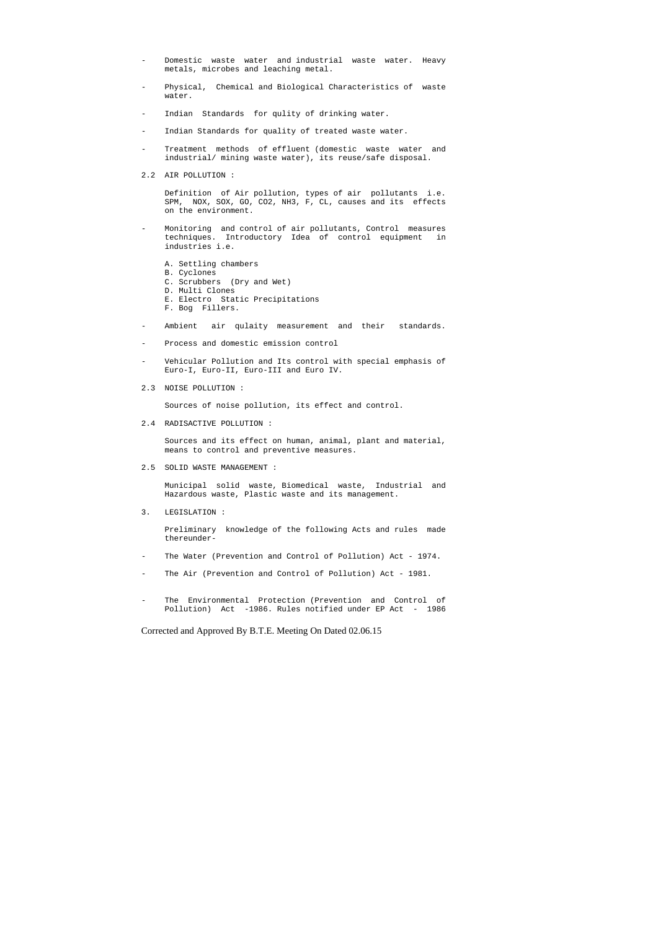- Domestic waste water and industrial waste water. Heavy metals, microbes and leaching metal.
- Physical, Chemical and Biological Characteristics of waste water.
- Indian Standards for qulity of drinking water.
- Indian Standards for quality of treated waste water.
- Treatment methods of effluent (domestic waste water and industrial/ mining waste water), its reuse/safe disposal.
- 2.2 AIR POLLUTION :

 Definition of Air pollution, types of air pollutants i.e. SPM, NOX, SOX, GO, CO2, NH3, F, CL, causes and its effects on the environment.

- Monitoring and control of air pollutants, Control measures techniques. Introductory Idea of control equipment in industries i.e.
	- A. Settling chambers
	- B. Cyclones
	- C. Scrubbers (Dry and Wet)
	- D. Multi Clones
	- E. Electro Static Precipitations
	- F. Bog Fillers.
- Ambient air qulaity measurement and their standards.
- Process and domestic emission control
- Vehicular Pollution and Its control with special emphasis of Euro-I, Euro-II, Euro-III and Euro IV.
- 2.3 NOISE POLLUTION :

- The Water (Prevention and Control of Pollution) Act 1974.
- The Air (Prevention and Control of Pollution) Act 1981.
- The Environmental Protection (Prevention and Control of Pollution) Act -1986. Rules notified under EP Act - 1986

Sources of noise pollution, its effect and control.

2.4 RADISACTIVE POLLUTION :

 Sources and its effect on human, animal, plant and material, means to control and preventive measures.

2.5 SOLID WASTE MANAGEMENT :

 Municipal solid waste, Biomedical waste, Industrial and Hazardous waste, Plastic waste and its management.

3. LEGISLATION :

 Preliminary knowledge of the following Acts and rules made thereunder-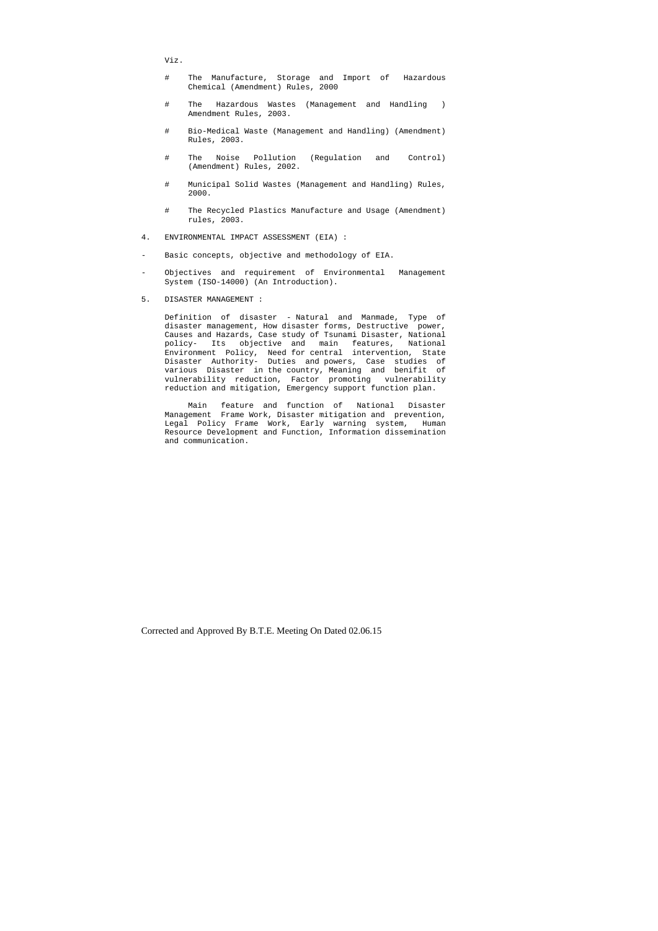Viz.

- # The Manufacture, Storage and Import of Hazardous Chemical (Amendment) Rules, 2000
- # The Hazardous Wastes (Management and Handling ) Amendment Rules, 2003.
- # Bio-Medical Waste (Management and Handling) (Amendment) Rules, 2003.
- # The Noise Pollution (Regulation and Control) (Amendment) Rules, 2002.
- # Municipal Solid Wastes (Management and Handling) Rules, 2000.
- # The Recycled Plastics Manufacture and Usage (Amendment) rules, 2003.
- 4. ENVIRONMENTAL IMPACT ASSESSMENT (EIA) :
- Basic concepts, objective and methodology of EIA.
- Objectives and requirement of Environmental Management System (ISO-14000) (An Introduction).
- 5. DISASTER MANAGEMENT :

 Definition of disaster - Natural and Manmade, Type of disaster management, How disaster forms, Destructive power, Causes and Hazards, Case study of Tsunami Disaster, National policy- Its objective and main features, National Environment Policy, Need for central intervention, State Disaster Authority- Duties and powers, Case studies of various Disaster in the country, Meaning and benifit of vulnerability reduction, Factor promoting vulnerability reduction and mitigation, Emergency support function plan.

 Main feature and function of National Disaster Management Frame Work, Disaster mitigation and prevention, Legal Policy Frame Work, Early warning system, Human Resource Development and Function, Information dissemination and communication.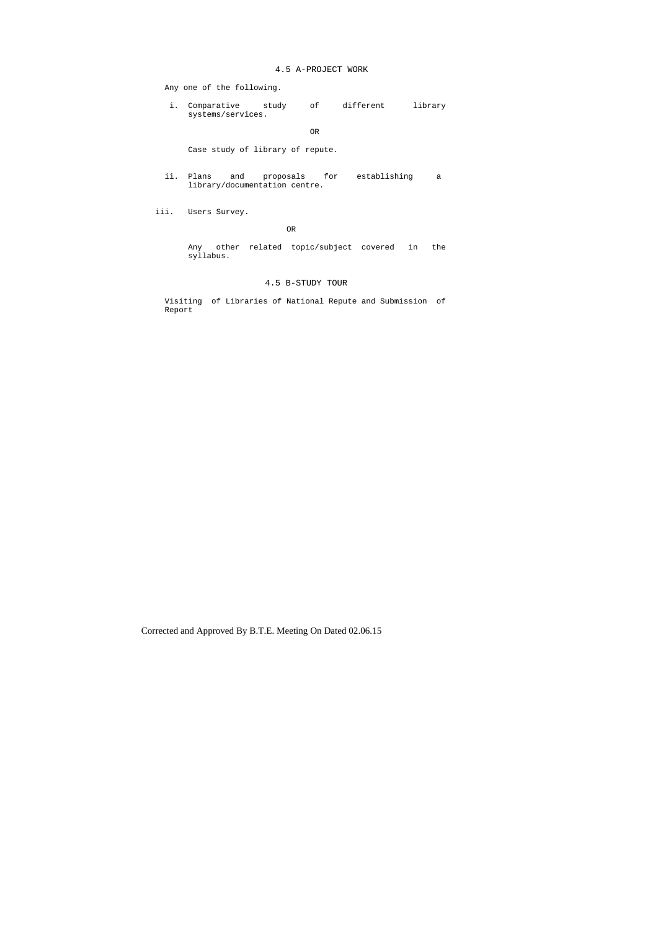## 4.5 A-PROJECT WORK

Any one of the following.

 i. Comparative study of different library systems/services.

#### OR

Case study of library of repute.

 ii. Plans and proposals for establishing a library/documentation centre.

iii. Users Survey.

#### OR

 Any other related topic/subject covered in the syllabus.

## 4.5 B-STUDY TOUR

 Visiting of Libraries of National Repute and Submission of Report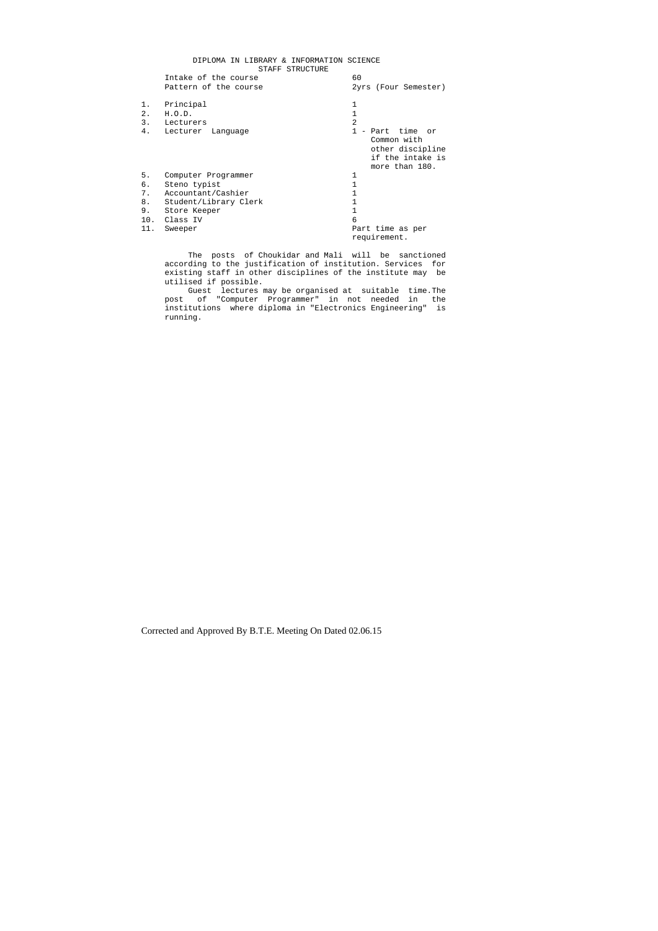#### DIPLOMA IN LIBRARY & INFORMATION SCIENCE STAFF STRUCTURE

|                | ------------<br>Intake of the course | 60                                                                                        |
|----------------|--------------------------------------|-------------------------------------------------------------------------------------------|
|                | Pattern of the course                | 2yrs (Four Semester)                                                                      |
| 1.<br>2.<br>3. | Principal<br>H.O.D.<br>Lecturers     | $\mathfrak{D}$                                                                            |
| 4.             | Lecturer Language                    | 1 - Part time or<br>Common with<br>other discipline<br>if the intake is<br>more than 180. |
| 5.             | Computer Programmer                  |                                                                                           |
| б.             | Steno typist                         |                                                                                           |
| 7.             | Accountant/Cashier                   |                                                                                           |
| 8.             | Student/Library Clerk                |                                                                                           |
| 9.             | Store Keeper                         |                                                                                           |
| 10.            | Class IV                             | 6                                                                                         |
| 11.            | Sweeper                              | Part time as per                                                                          |
|                |                                      | requirement.                                                                              |

 The posts of Choukidar and Mali will be sanctioned according to the justification of institution. Services for existing staff in other disciplines of the institute may be utilised if possible.

 Guest lectures may be organised at suitable time.The post of "Computer Programmer" in not needed in the institutions where diploma in "Electronics Engineering" is running.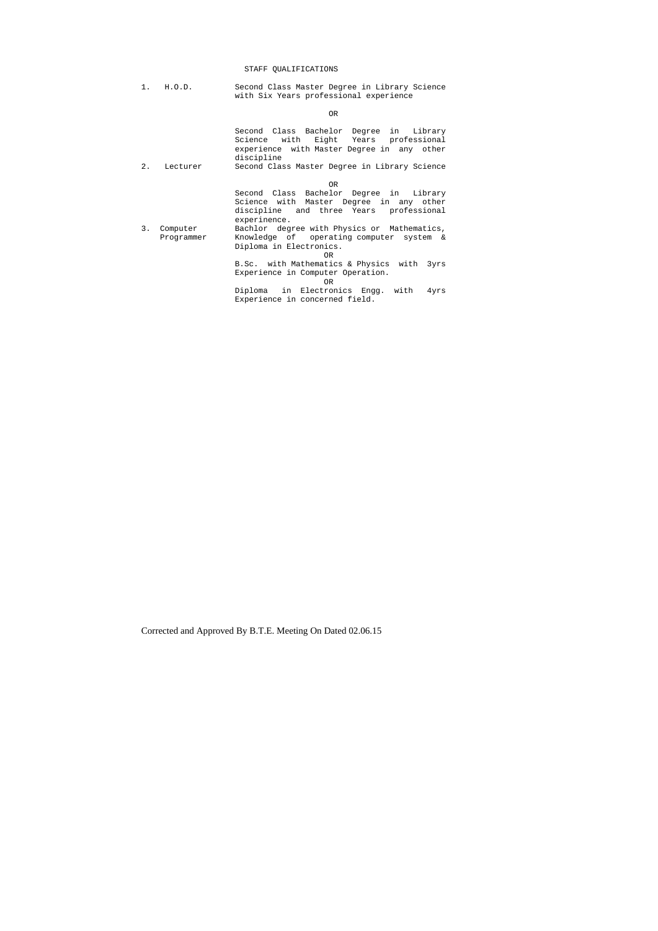# STAFF QUALIFICATIONS

1. H.O.D. Second Class Master Degree in Library Science with Six Years professional experience

**OR** 

| 2. | Lecturer   | Second Class Bachelor Degree in Library<br>with<br>Eight Years professional<br>Science<br>experience with Master Degree in any other<br>discipline<br>Second Class Master Degree in Library Science |
|----|------------|-----------------------------------------------------------------------------------------------------------------------------------------------------------------------------------------------------|
|    |            | OR.                                                                                                                                                                                                 |
|    |            | Second Class Bachelor Degree in Library<br>Science with Master Degree in any other<br>discipline and three Years<br>professional<br>experinence.                                                    |
| 3. | Computer   | Bachlor degree with Physics or Mathematics,                                                                                                                                                         |
|    | Programmer | Knowledge of operating computer system &                                                                                                                                                            |
|    |            | Diploma in Electronics.<br>OR.                                                                                                                                                                      |
|    |            | B.Sc. with Mathematics & Physics with 3yrs                                                                                                                                                          |
|    |            | Experience in Computer Operation.<br>OR.                                                                                                                                                            |
|    |            | Diploma in Electronics Engg. with<br>4yrs                                                                                                                                                           |
|    |            | Experience in concerned field.                                                                                                                                                                      |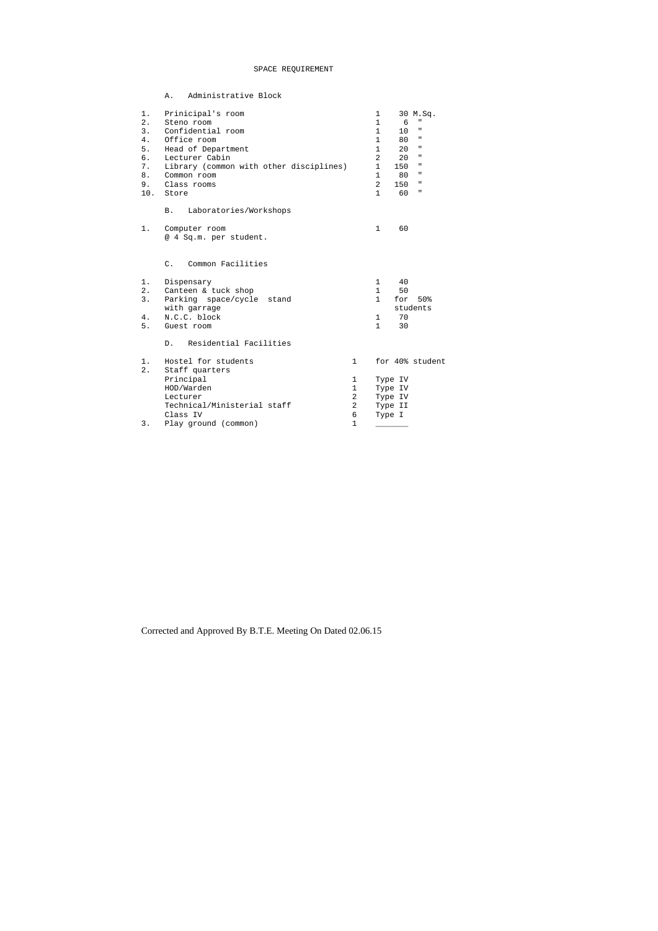# SPACE REQUIREMENT

|       | Administrative Block<br>Α.              |                |                |         |                                                                                           |
|-------|-----------------------------------------|----------------|----------------|---------|-------------------------------------------------------------------------------------------|
| 1.    | Prinicipal's room                       |                | $\mathbf 1$    |         | 30 M.Sq.                                                                                  |
| 2.    | Steno room                              |                | $\mathbf{1}$   | 6       | $\mathbf{H}$                                                                              |
| 3.    | Confidential room                       |                | $\mathbf{1}$   | 10      | $\mathbf H$                                                                               |
| 4.    | Office room                             |                | 1              | 80      | $\mathbf{H}$                                                                              |
| 5.    | Head of Department                      |                | $\mathbf{1}$   | 20      | п                                                                                         |
| б.    | Lecturer Cabin                          |                | 2              | 20      | $\mathbf{H}$                                                                              |
| 7.    | Library (common with other disciplines) |                | $\mathbf 1$    | 150     | $\mathsf{H}% _{0}\left( \mathcal{N}\right) \equiv\mathsf{H}_{0}\left( \mathcal{N}\right)$ |
| 8.    | Common room                             |                | $\mathbf{1}$   | 80      | $\mathbf H$                                                                               |
| 9.    | Class rooms                             |                | $\overline{2}$ | 150     | п                                                                                         |
| 10.   | Store                                   |                | $\mathbf{1}$   | 60      | $\sf H$                                                                                   |
|       | Laboratories/Workshops<br>Β.            |                |                |         |                                                                                           |
| 1.    | Computer room<br>@ 4 Sq.m. per student. |                | $\mathbf{1}$   | 60      |                                                                                           |
|       | $C$ .<br>Common Facilities              |                |                |         |                                                                                           |
| 1.    | Dispensary                              |                | $\mathbf{1}$   | 40      |                                                                                           |
| $2$ . | Canteen & tuck shop                     |                | $\mathbf{1}$   | 50      |                                                                                           |
| 3.    | Parking space/cycle stand               |                | $\mathbf{1}$   | for     | 50%                                                                                       |
|       | with garrage                            |                |                |         | students                                                                                  |
| $4$ . | N.C.C. block                            |                | 1              | 70      |                                                                                           |
| 5.    | Guest room                              |                | $\mathbf{1}$   | 30      |                                                                                           |
|       | Residential Facilities<br>$D$ .         |                |                |         |                                                                                           |
| 1.    | Hostel for students                     | $\mathbf{1}$   |                |         | for 40% student                                                                           |
| $2$ . | Staff quarters                          |                |                |         |                                                                                           |
|       | Principal                               | $\mathbf 1$    |                | Type IV |                                                                                           |
|       | HOD/Warden                              | $\mathbf 1$    |                | Type IV |                                                                                           |
|       | Lecturer                                | $\overline{a}$ |                | Type IV |                                                                                           |
|       | Technical/Ministerial staff             | $\overline{a}$ |                | Type II |                                                                                           |
|       | Class IV                                | 6              | Type I         |         |                                                                                           |
| 3.    | Play ground (common)                    | $\mathbf 1$    |                |         |                                                                                           |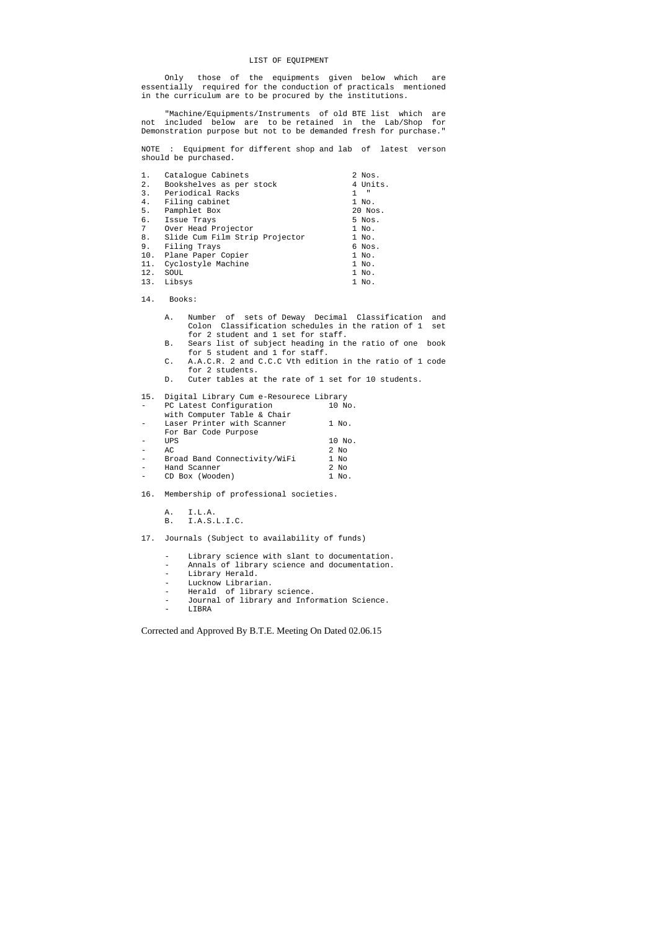# LIST OF EQUIPMENT

 Only those of the equipments given below which are essentially required for the conduction of practicals mentioned in the curriculum are to be procured by the institutions.

 "Machine/Equipments/Instruments of old BTE list which are not included below are to be retained in the Lab/Shop for Demonstration purpose but not to be demanded fresh for purchase."

NOTE : Equipment for different shop and lab of latest verson should be purchased.

| 1.  | Catalogue Cabinets             | 2 Nos.   |
|-----|--------------------------------|----------|
| 2.  | Bookshelves as per stock       | 4 Units. |
| 3.  | Periodical Racks               | ш        |
| 4.  | Filing cabinet                 | 1 No.    |
| 5.  | Pamphlet Box                   | 20 Nos.  |
| б.  | Issue Trays                    | 5 Nos.   |
| 7   | Over Head Projector            | 1 No.    |
| 8.  | Slide Cum Film Strip Projector | 1 No.    |
| 9.  | Filing Trays                   | 6 Nos.   |
| 10. | Plane Paper Copier             | 1 No.    |
| 11. | Cyclostyle Machine             | 1 No.    |
| 12. | SOUL                           | 1 No.    |
| 13. | Libsys                         | 1 No.    |

- Laser Printer with Scanner 1 No. For Bar Code Purpose - UPS 10 No.
- AC 2 No
- 
- Broad Band Connectivity/WiFi 1 No<br>- Hand Scanner 2 No Hand Scanner 2 No
- CD Box (Wooden) 1 No.
- 16. Membership of professional societies.
	- A. I.L.A.
	- B. I.A.S.L.I.C.

14. Books:

- Library science with slant to documentation.
- Annals of library science and documentation.
- Library Herald.
- Lucknow Librarian.
- Herald of library science.
- Journal of library and Information Science.
- LIBRA
- A. Number of sets of Deway Decimal Classification and Colon Classification schedules in the ration of 1 set for 2 student and 1 set for staff.
- B. Sears list of subject heading in the ratio of one book for 5 student and 1 for staff.
- C. A.A.C.R. 2 and C.C.C Vth edition in the ratio of 1 code for 2 students.
- D. Cuter tables at the rate of 1 set for 10 students.

15. Digital Library Cum e-Resourece Library

| - | PC Latest Configuration     |  | 10 No. |
|---|-----------------------------|--|--------|
|   | with Computer Table & Chair |  |        |
|   |                             |  |        |

17. Journals (Subject to availability of funds)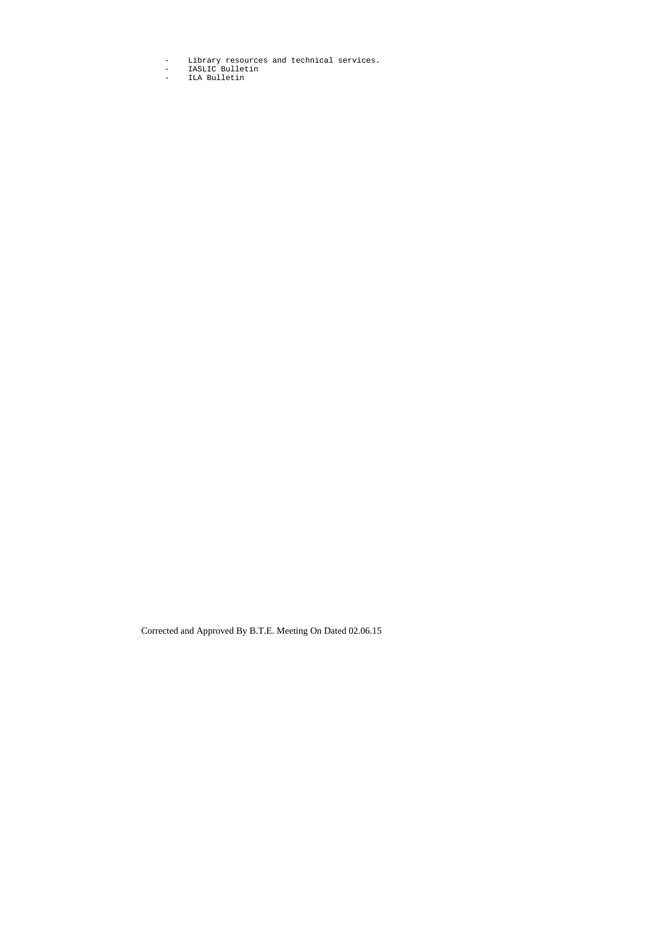- Library resources and technical services.
- IASLIC Bulletin
- ILA Bulletin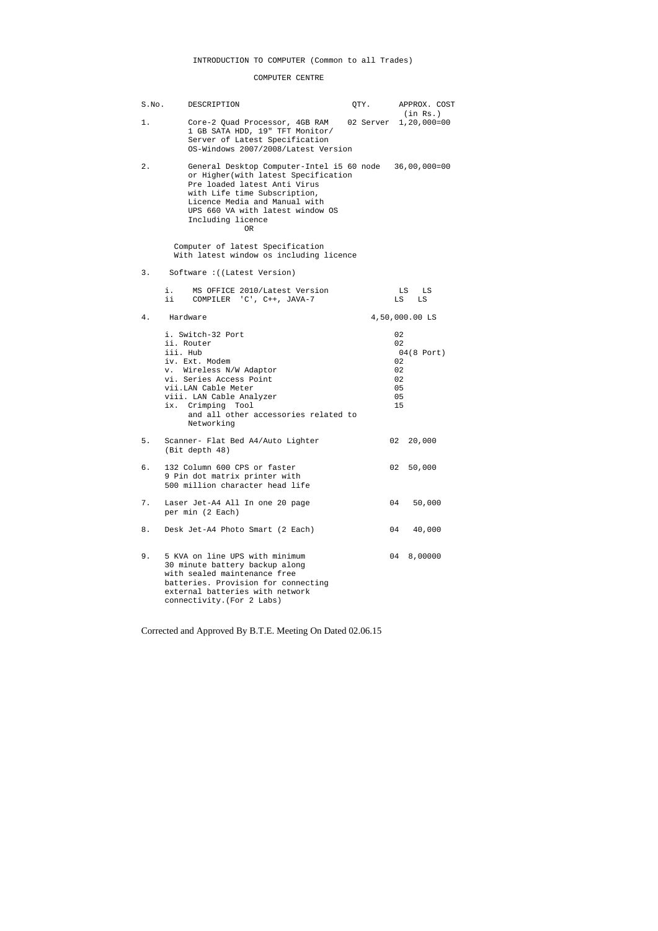# INTRODUCTION TO COMPUTER (Common to all Trades)

# COMPUTER CENTRE

| S.No. | DESCRIPTION                                                                                                                                                                                                                                       | QTY. |    | APPROX. COST                                                 |
|-------|---------------------------------------------------------------------------------------------------------------------------------------------------------------------------------------------------------------------------------------------------|------|----|--------------------------------------------------------------|
| 1.    | Core-2 Quad Processor, 4GB RAM 02 Server 1,20,000=00<br>1 GB SATA HDD, 19" TFT Monitor/<br>Server of Latest Specification<br>OS-Windows 2007/2008/Latest Version                                                                                  |      |    | (in Rs.)                                                     |
| 2.    | General Desktop Computer-Intel i5 60 node<br>or Higher (with latest Specification<br>Pre loaded latest Anti Virus<br>with Life time Subscription,<br>Licence Media and Manual with<br>UPS 660 VA with latest window OS<br>Including licence<br>0R |      |    | $36,00,000=00$                                               |
|       | Computer of latest Specification<br>With latest window os including licence                                                                                                                                                                       |      |    |                                                              |
| 3.    | Software: ((Latest Version)                                                                                                                                                                                                                       |      |    |                                                              |
|       | MS OFFICE 2010/Latest Version<br>i.<br>ii –<br>COMPILER 'C', C++, JAVA-7                                                                                                                                                                          |      |    | LS<br>LS<br>LS<br>LS                                         |
| 4.    | Hardware                                                                                                                                                                                                                                          |      |    | 4,50,000.00 LS                                               |
|       | i. Switch-32 Port<br>ii. Router<br>iii. Hub<br>iv. Ext. Modem<br>v. Wireless N/W Adaptor<br>vi. Series Access Point<br>vii.LAN Cable Meter<br>viii. LAN Cable Analyzer<br>ix. Crimping Tool<br>and all other accessories related to<br>Networking |      |    | 02<br>02<br>$04(8$ Port)<br>02<br>02<br>02<br>05<br>05<br>15 |
| 5.    | Scanner- Flat Bed A4/Auto Lighter<br>(Bit depth 48)                                                                                                                                                                                               |      | 02 | 20,000                                                       |
| б.    | 132 Column 600 CPS or faster<br>9 Pin dot matrix printer with<br>500 million character head life                                                                                                                                                  |      |    | 50,000<br>02.                                                |
| 7.    | Laser Jet-A4 All In one 20 page<br>per min (2 Each)                                                                                                                                                                                               |      |    | 50,000<br>04                                                 |
| 8.    | Desk Jet-A4 Photo Smart (2 Each)                                                                                                                                                                                                                  |      |    | 40,000<br>04                                                 |
| 9.    | 5 KVA on line UPS with minimum<br>30 minute battery backup along<br>with sealed maintenance free<br>batteries. Provision for connecting<br>external batteries with network<br>connectivity. (For 2 Labs)                                          |      |    | 04<br>8,00000                                                |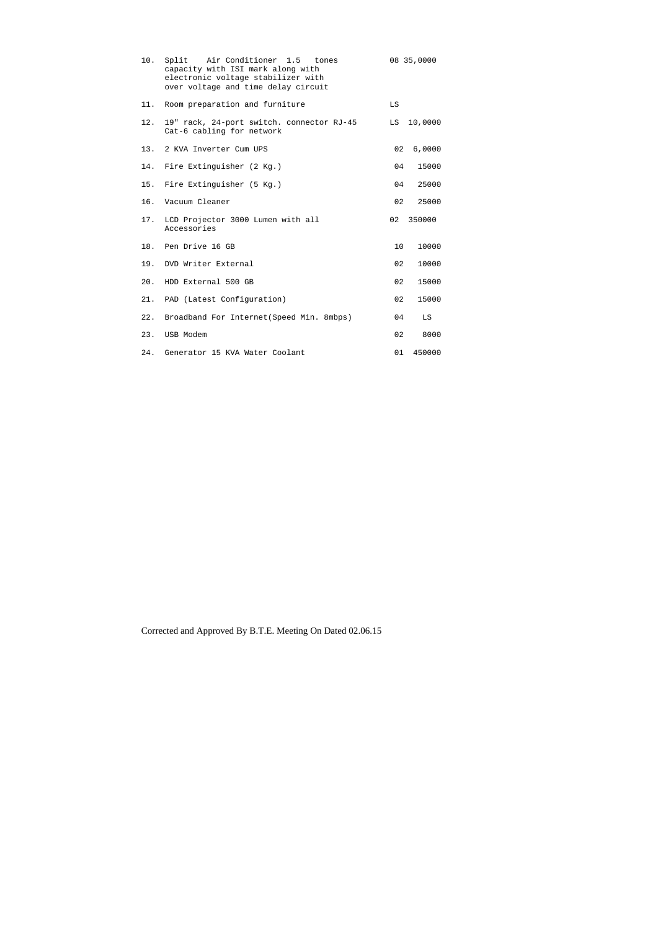| 10. | Split Air Conditioner 1.5 tones<br>capacity with ISI mark along with<br>electronic voltage stabilizer with<br>over voltage and time delay circuit |    | 08 35,0000 |
|-----|---------------------------------------------------------------------------------------------------------------------------------------------------|----|------------|
| 11. | Room preparation and furniture                                                                                                                    | LS |            |
| 12. | 19" rack, 24-port switch. connector RJ-45<br>Cat-6 cabling for network                                                                            | LS | 10,0000    |
|     | 13. 2 KVA Inverter Cum UPS                                                                                                                        | 02 | 6,0000     |
| 14. | Fire Extinguisher (2 Kg.)                                                                                                                         | 04 | 15000      |
| 15. | Fire Extinguisher (5 Kg.)                                                                                                                         | 04 | 25000      |
| 16. | Vacuum Cleaner                                                                                                                                    | 02 | 25000      |
| 17. | LCD Projector 3000 Lumen with all<br>Accessories                                                                                                  | 02 | 350000     |
|     | 18. Pen Drive 16 GB                                                                                                                               | 10 | 10000      |
| 19. | DVD Writer External                                                                                                                               | 02 | 10000      |
| 20. | HDD External 500 GB                                                                                                                               | 02 | 15000      |
| 21. | PAD (Latest Configuration)                                                                                                                        | 02 | 15000      |
| 22. | Broadband For Internet (Speed Min. 8mbps)                                                                                                         | 04 | LS         |
| 23. | USB Modem                                                                                                                                         | 02 | 8000       |
| 24. | Generator 15 KVA Water Coolant                                                                                                                    | 01 | 450000     |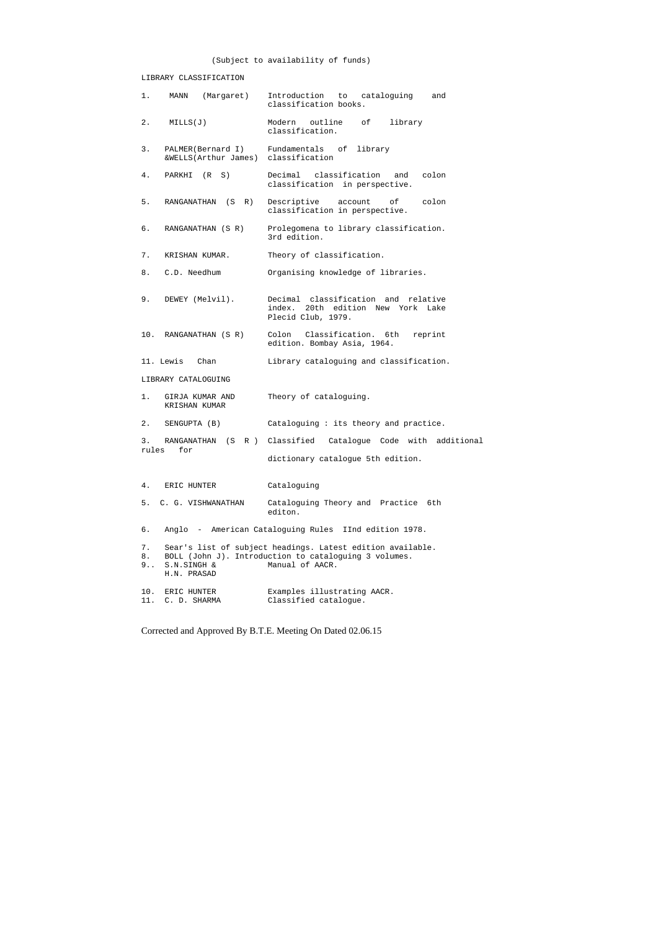# (Subject to availability of funds)

# LIBRARY CLASSIFICATION

| $1\,.$          | (Margaret)<br>MANN                                                       | Introduction<br>cataloquinq<br>to<br>and<br>classification books.                                                                      |
|-----------------|--------------------------------------------------------------------------|----------------------------------------------------------------------------------------------------------------------------------------|
| 2.              | MILLS(J)                                                                 | Modern outline<br>library<br>of<br>classification.                                                                                     |
| 3.              | PALMER(Bernard I) Fundamentals of<br>&WELLS(Arthur James) classification | library                                                                                                                                |
| 4.              | PARKHI (R S)                                                             | Decimal classification and<br>colon<br>classification in perspective.                                                                  |
| 5.              | RANGANATHAN<br>( S<br>R)                                                 | Descriptive account of<br>colon<br>classification in perspective.                                                                      |
| б.              | RANGANATHAN (S R)                                                        | Prolegomena to library classification.<br>3rd edition.                                                                                 |
| 7.              | KRISHAN KUMAR.                                                           | Theory of classification.                                                                                                              |
| 8.              | C.D. Needhum                                                             | Organising knowledge of libraries.                                                                                                     |
| 9.              | DEWEY (Melvil).                                                          | Decimal classification and relative<br>20th edition New York<br>index.<br>Lake<br>Plecid Club, 1979.                                   |
|                 | 10. RANGANATHAN (S R)                                                    | Colon Classification. 6th reprint<br>edition. Bombay Asia, 1964.                                                                       |
|                 | 11. Lewis<br>Chan                                                        | Library cataloguing and classification.                                                                                                |
|                 | LIBRARY CATALOGUING                                                      |                                                                                                                                        |
| 1.              | GIRJA KUMAR AND<br>KRISHAN KUMAR                                         | Theory of cataloguing.                                                                                                                 |
| $2$ .           | SENGUPTA (B)                                                             | Cataloguing: its theory and practice.                                                                                                  |
| 3.              | for                                                                      | RANGANATHAN (S R ) Classified Catalogue Code with additional                                                                           |
| rules           |                                                                          | dictionary catalogue 5th edition.                                                                                                      |
| 4.              | ERIC HUNTER                                                              | Cataloguing                                                                                                                            |
|                 | 5. C. G. VISHWANATHAN                                                    | Cataloguing Theory and Practice 6th<br>editon.                                                                                         |
| б.              |                                                                          | Anglo - American Cataloguing Rules IInd edition 1978.                                                                                  |
| 7.<br>8.<br>9.1 | S.N.SINGH &<br>H.N. PRASAD                                               | Sear's list of subject headings. Latest edition available.<br>BOLL (John J). Introduction to cataloguing 3 volumes.<br>Manual of AACR. |
| 10.<br>11.      | ERIC HUNTER<br>C. D. SHARMA                                              | Examples illustrating AACR.<br>Classified catalogue.                                                                                   |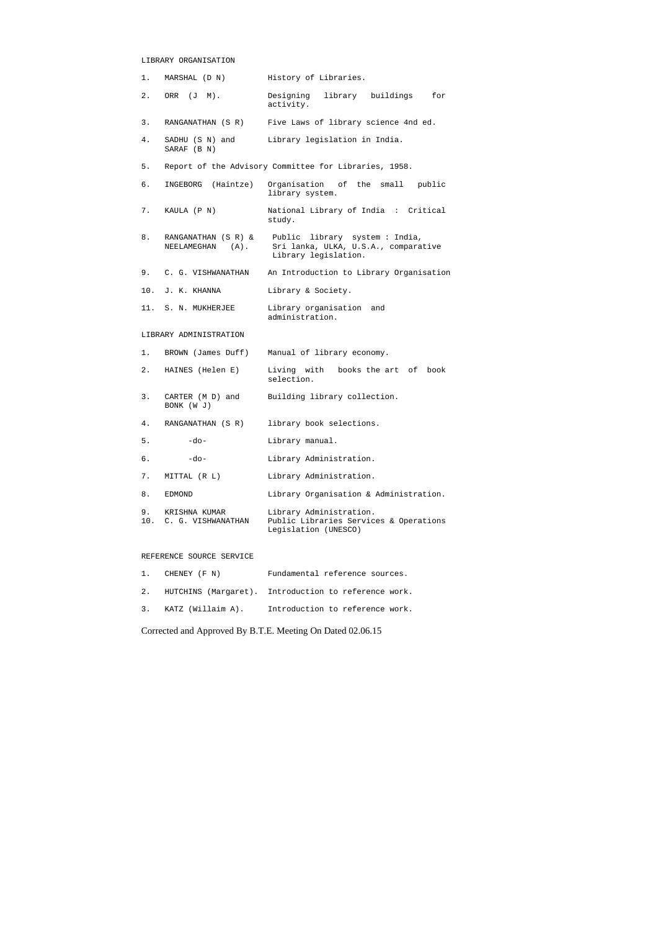## LIBRARY ORGANISATION

| 1.   | MARSHAL (D N)                              | History of Libraries.                                                                         |
|------|--------------------------------------------|-----------------------------------------------------------------------------------------------|
| 2.   | ORR (J M).                                 | Designing<br>library buildings<br>for<br>activity.                                            |
| 3.   | RANGANATHAN (S R)                          | Five Laws of library science 4nd ed.                                                          |
| 4.   | SADHU (S N) and<br>SARAF (B N)             | Library legislation in India.                                                                 |
| 5.   |                                            | Report of the Advisory Committee for Libraries, 1958.                                         |
| б.   | INGEBORG (Haintze)                         | Organisation of the small<br>public<br>library system.                                        |
| 7.   | KAULA (P N)                                | National Library of India : Critical<br>study.                                                |
| 8.   | RANGANATHAN (S R) &<br>NEELAMEGHAN (A).    | Public library system: India,<br>Sri lanka, ULKA, U.S.A., comparative<br>Library legislation. |
| 9.   | C. G. VISHWANATHAN                         | An Introduction to Library Organisation                                                       |
|      | 10. J. K. KHANNA                           | Library & Society.                                                                            |
|      | 11. S. N. MUKHERJEE                        | Library organisation and<br>administration.                                                   |
|      | LIBRARY ADMINISTRATION                     |                                                                                               |
| 1.   | BROWN (James Duff)                         | Manual of library economy.                                                                    |
| 2.   | HAINES (Helen E)                           | Living with books the art of<br>book<br>selection.                                            |
| 3.   | CARTER (M D) and<br>BONK (W J)             | Building library collection.                                                                  |
| 4.   |                                            | RANGANATHAN (S R) library book selections.                                                    |
| $5.$ | $-do-$                                     | Library manual.                                                                               |
| б.   | $-do-$                                     | Library Administration.                                                                       |
| 7.   | MITTAL (R L)                               | Library Administration.                                                                       |
| 8.   | EDMOND                                     | Library Organisation & Administration.                                                        |
|      | 9. KRISHNA KUMAR<br>10. C. G. VISHWANATHAN | Library Administration.<br>Public Libraries Services & Operations<br>Legislation (UNESCO)     |
|      |                                            |                                                                                               |

#### REFERENCE SOURCE SERVICE

| 1. CHENEY (F N)      | Fundamental reference sources.                          |
|----------------------|---------------------------------------------------------|
|                      | 2. HUTCHINS (Margaret). Introduction to reference work. |
| 3. KATZ (Willaim A). | Introduction to reference work.                         |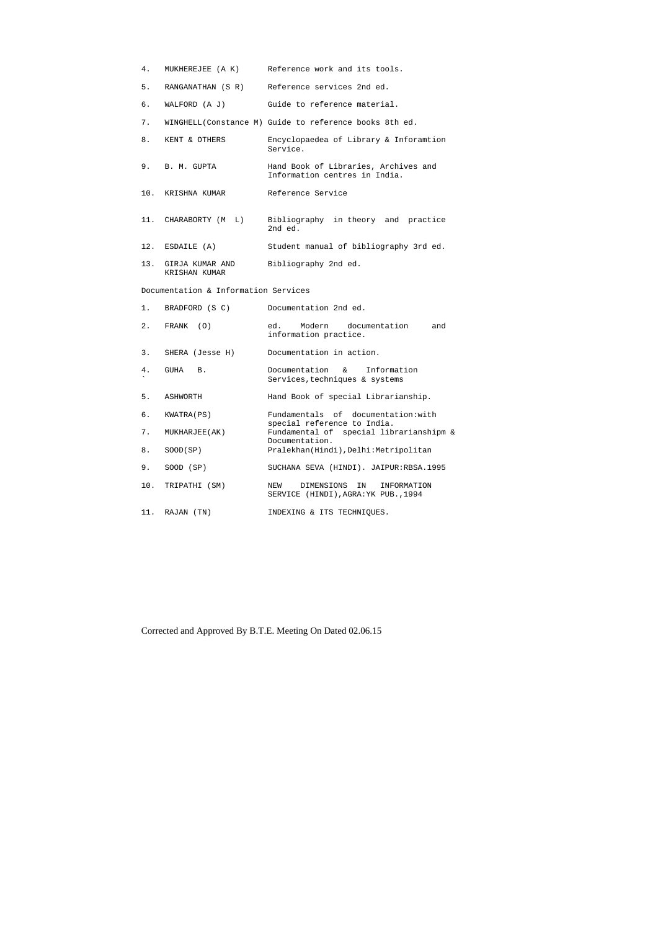- 4. MUKHEREJEE (A K) Reference work and its tools.
- 5. RANGANATHAN (S R) Reference services 2nd ed.
- 6. WALFORD (A J) Guide to reference material.
- 7. WINGHELL(Constance M) Guide to reference books 8th ed.
- 8. KENT & OTHERS Encyclopaedea of Library & Inforamtion Service. 9. B. M. GUPTA Hand Book of Libraries, Archives and Information centres in India.
- 10. KRISHNA KUMAR Reference Service
- 11. CHARABORTY (M L) Bibliography in theory and practice 2nd ed. 12. ESDAILE (A) Student manual of bibliography 3rd ed.
- 13. GIRJA KUMAR AND Bibliography 2nd ed. KRISHAN KUMAR

## Documentation & Information Services

| 1.  | BRADFORD (S C)  | Documentation 2nd ed.                                                          |
|-----|-----------------|--------------------------------------------------------------------------------|
| 2.  | FRANK (0)       | Modern documentation<br>ed.<br>and<br>information practice.                    |
| 3.  | SHERA (Jesse H) | Documentation in action.                                                       |
| 4.  | GUHA<br>B.      | Documentation & Information<br>Services, techniques & systems                  |
| 5.  | ASHWORTH        | Hand Book of special Librarianship.                                            |
| б.  | KWATRA(PS)      | Fundamentals of documentation: with<br>special reference to India.             |
| 7.  | MUKHARJEE(AK)   | Fundamental of special librarianshipm &<br>Documentation.                      |
| 8.  | SOOD(SP)        | Pralekhan(Hindi), Delhi: Metripolitan                                          |
| 9.  | SOOD (SP)       | SUCHANA SEVA (HINDI). JAIPUR:RBSA.1995                                         |
| 10. | TRIPATHI (SM)   | DIMENSIONS<br>IN<br>INFORMATION<br>NEW<br>SERVICE (HINDI), AGRA: YK PUB., 1994 |
| 11. | RAJAN (TN)      | INDEXING & ITS TECHNIOUES.                                                     |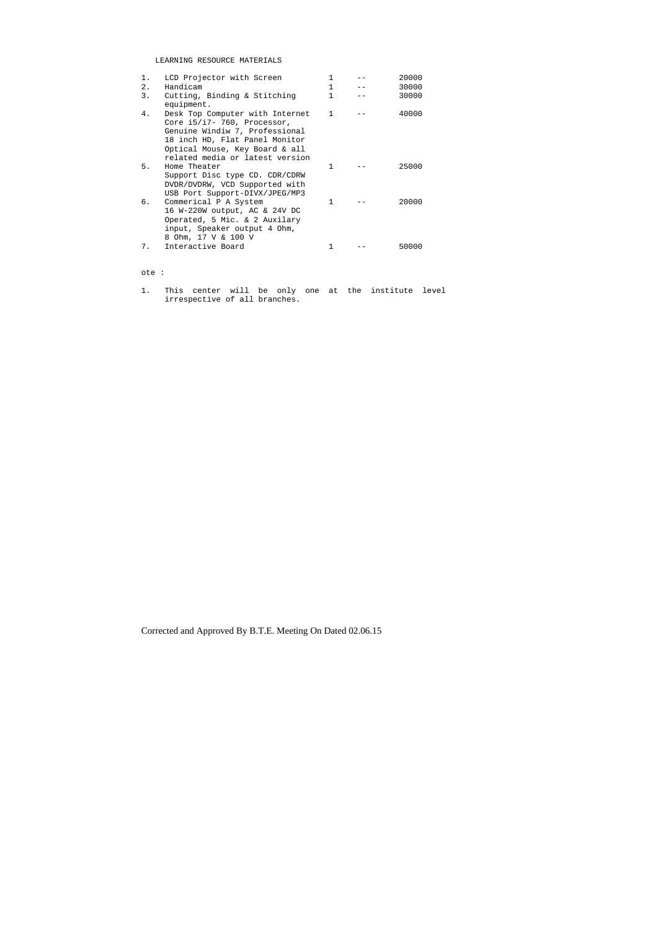# LEARNING RESOURCE MATERIALS

| 1. | LCD Projector with Screen       | 1            | 20000 |
|----|---------------------------------|--------------|-------|
| 2. | Handicam                        | 1            | 30000 |
| 3. | Cutting, Binding & Stitching    |              | 30000 |
|    | equipment.                      |              |       |
| 4. | Desk Top Computer with Internet | $\mathbf{1}$ | 40000 |
|    | Core $i5/i7 - 760$ , Processor, |              |       |
|    | Genuine Windiw 7, Professional  |              |       |
|    | 18 inch HD, Flat Panel Monitor  |              |       |
|    | Optical Mouse, Key Board & all  |              |       |
|    | related media or latest version |              |       |
| 5. | Home Theater                    | 1            | 25000 |
|    | Support Disc type CD. CDR/CDRW  |              |       |
|    | DVDR/DVDRW, VCD Supported with  |              |       |
|    | USB Port Support-DIVX/JPEG/MP3  |              |       |
| б. | Commerical P A System           | 1            | 20000 |
|    | 16 W-220W output, AC & 24V DC   |              |       |
|    | Operated, 5 Mic. & 2 Auxilary   |              |       |
|    | input, Speaker output 4 Ohm,    |              |       |
|    | 8 Ohm, 17 V & 100 V             |              |       |
| 7. | Interactive Board               |              | 50000 |

# ote :

1. This center will be only one at the institute level irrespective of all branches.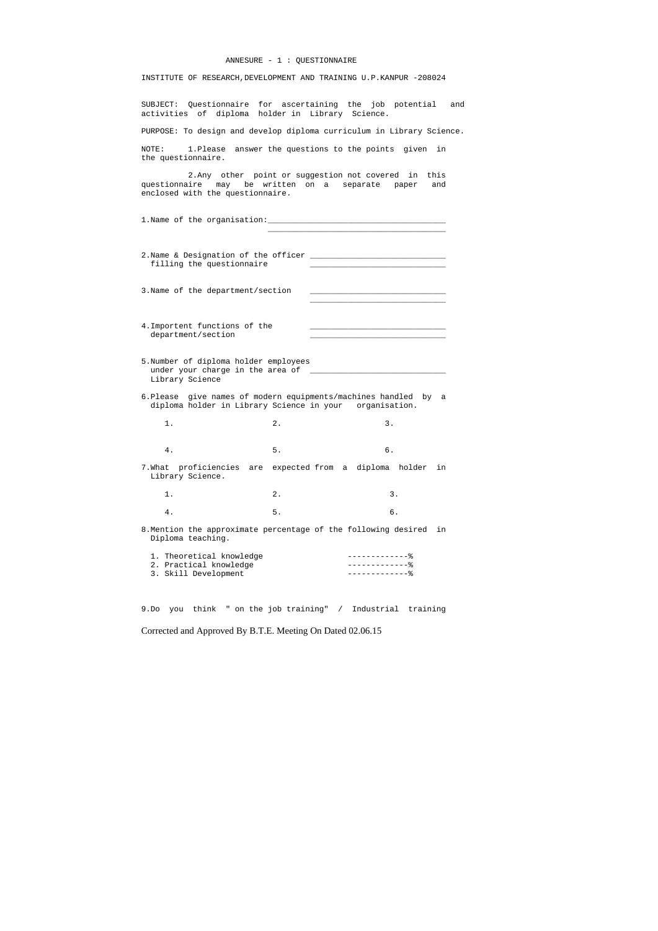#### ANNESURE - 1 : QUESTIONNAIRE

INSTITUTE OF RESEARCH,DEVELOPMENT AND TRAINING U.P.KANPUR -208024

SUBJECT: Questionnaire for ascertaining the job potential and activities of diploma holder in Library Science.

PURPOSE: To design and develop diploma curriculum in Library Science.

2.Name & Designation of the officer \_\_\_\_\_\_\_\_\_\_\_\_\_\_\_\_\_\_\_\_\_\_\_\_\_\_\_\_\_ filling the questionnaire

 $\overline{\phantom{a}}$  , and the state of the state of the state of the state of the state of the state of the state of the state of the state of the state of the state of the state of the state of the state of the state of the stat

 $\mathcal{L}_\mathcal{L}$  , and the state of the state of the state of the state of the state of the state of the state of the state of the state of the state of the state of the state of the state of the state of the state of the s

3. Name of the department/section

NOTE: 1.Please answer the questions to the points given in the questionnaire.

 2.Any other point or suggestion not covered in this questionnaire may be written on a separate paper and enclosed with the questionnaire.

1.Name of the organisation:\_\_\_\_\_\_\_\_\_\_\_\_\_\_\_\_\_\_\_\_\_\_\_\_\_\_\_\_\_\_\_\_\_\_\_\_\_\_

- 4.Importent functions of the department/section
- 5.Number of diploma holder employees under your charge in the area of \_\_\_\_\_\_\_\_\_\_\_\_\_\_\_\_\_\_\_\_\_\_\_\_\_\_\_\_\_ Library Science
- 6.Please give names of modern equipments/machines handled by a diploma holder in Library Science in your organisation.
- 1. 2. 3. 4. 5. 6.
- 7.What proficiencies are expected from a diploma holder in Library Science.
- 1. 2. 3. 4. 5. 6.
- 8.Mention the approximate percentage of the following desired in Diploma teaching.

| 1. Theoretical knowledge |  |
|--------------------------|--|
| 2. Practical knowledge   |  |
| 3. Skill Development     |  |

9.Do you think " on the job training" / Industrial training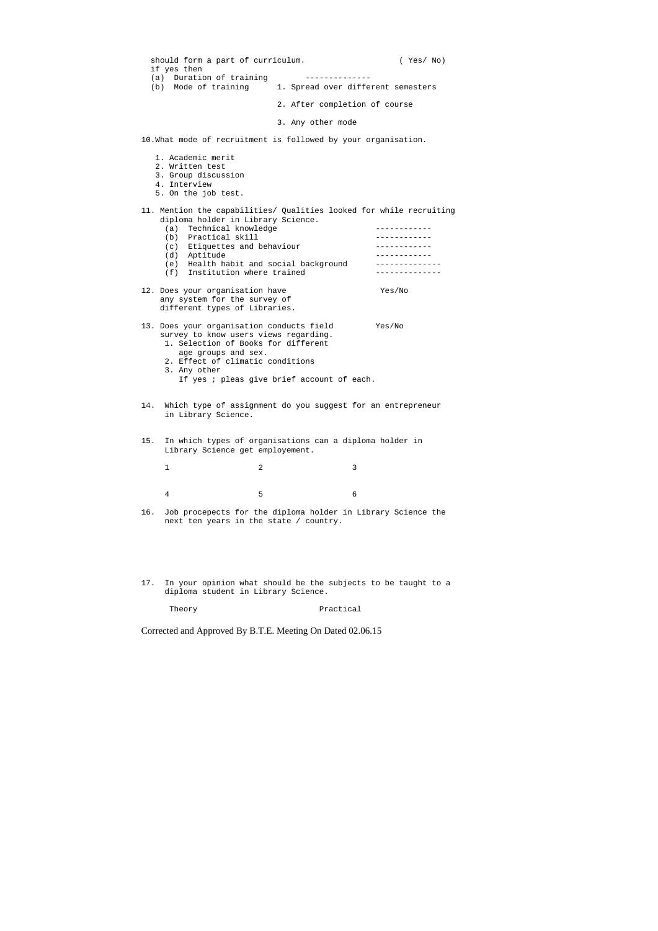| should form a part of curriculum.<br>if yes then<br>(a) Duration of training                                                                                                                                                                                 |                                                                                                                                                                                                                    |                               | (Yes/No)                                                                                                              |  |
|--------------------------------------------------------------------------------------------------------------------------------------------------------------------------------------------------------------------------------------------------------------|--------------------------------------------------------------------------------------------------------------------------------------------------------------------------------------------------------------------|-------------------------------|-----------------------------------------------------------------------------------------------------------------------|--|
|                                                                                                                                                                                                                                                              | (b) Mode of training                                                                                                                                                                                               |                               | 1. Spread over different semesters                                                                                    |  |
|                                                                                                                                                                                                                                                              |                                                                                                                                                                                                                    | 2. After completion of course |                                                                                                                       |  |
|                                                                                                                                                                                                                                                              |                                                                                                                                                                                                                    | 3. Any other mode             |                                                                                                                       |  |
| 10. What mode of recruitment is followed by your organisation.                                                                                                                                                                                               |                                                                                                                                                                                                                    |                               |                                                                                                                       |  |
|                                                                                                                                                                                                                                                              | 1. Academic merit<br>2. Written test<br>3. Group discussion<br>4. Interview<br>5. On the job test.                                                                                                                 |                               |                                                                                                                       |  |
|                                                                                                                                                                                                                                                              | diploma holder in Library Science.<br>Technical knowledge<br>(a)<br>(b) Practical skill<br>(c) Etiquettes and behaviour<br>(d) Aptitude<br>(e) Health habit and social background<br>(f) Institution where trained |                               | 11. Mention the capabilities/ Qualities looked for while recruiting<br>-----------<br>.<br>------------<br>---------- |  |
|                                                                                                                                                                                                                                                              | 12. Does your organisation have<br>Yes/No<br>any system for the survey of<br>different types of Libraries.                                                                                                         |                               |                                                                                                                       |  |
| 13. Does your organisation conducts field<br>Yes/No<br>survey to know users views regarding.<br>1. Selection of Books for different<br>age groups and sex.<br>2. Effect of climatic conditions<br>3. Any other<br>If yes ; pleas give brief account of each. |                                                                                                                                                                                                                    |                               |                                                                                                                       |  |
| 14.                                                                                                                                                                                                                                                          | Which type of assignment do you suggest for an entrepreneur<br>in Library Science.                                                                                                                                 |                               |                                                                                                                       |  |
| 15.                                                                                                                                                                                                                                                          | In which types of organisations can a diploma holder in<br>Library Science get employement.                                                                                                                        |                               |                                                                                                                       |  |
|                                                                                                                                                                                                                                                              | $\mathbf 1$<br>2                                                                                                                                                                                                   |                               | 3                                                                                                                     |  |
|                                                                                                                                                                                                                                                              | 5<br>4                                                                                                                                                                                                             |                               | 6                                                                                                                     |  |
| 16.                                                                                                                                                                                                                                                          | Job procepects for the diploma holder in Library Science the<br>next ten years in the state / country.                                                                                                             |                               |                                                                                                                       |  |

17. In your opinion what should be the subjects to be taught to a diploma student in Library Science.

Theory **Practical**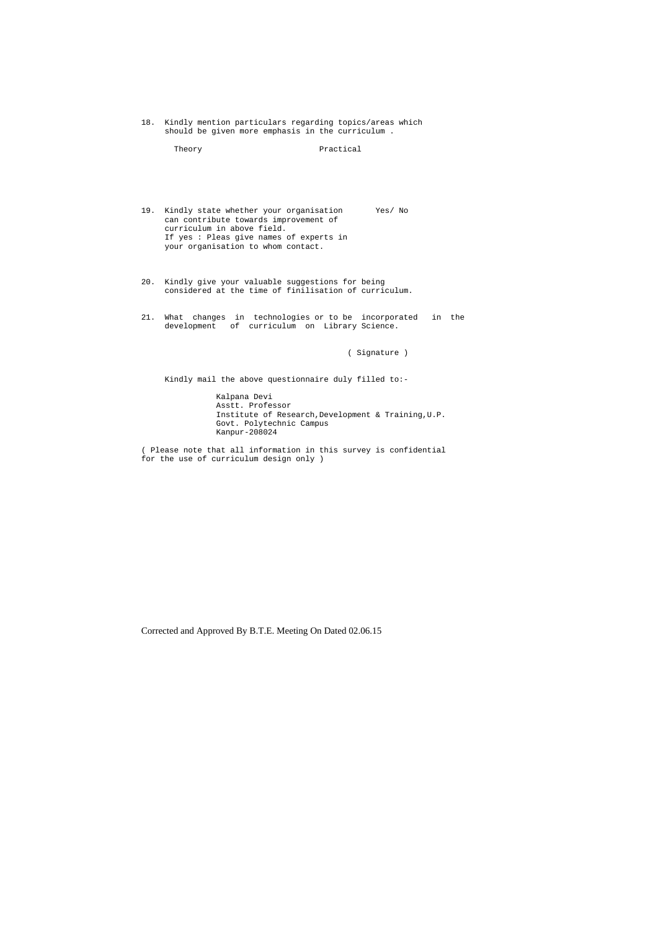18. Kindly mention particulars regarding topics/areas which should be given more emphasis in the curriculum .

Theory **Practical** 

- 19. Kindly state whether your organisation Yes/ No can contribute towards improvement of curriculum in above field. If yes : Pleas give names of experts in your organisation to whom contact.
- 20. Kindly give your valuable suggestions for being considered at the time of finilisation of curriculum.
- 21. What changes in technologies or to be incorporated in the development of curriculum on Library Science.

( Signature )

Kindly mail the above questionnaire duly filled to:-

 Kalpana Devi Asstt. Professor Institute of Research,Development & Training,U.P. Govt. Polytechnic Campus Kanpur-208024

( Please note that all information in this survey is confidential for the use of curriculum design only )